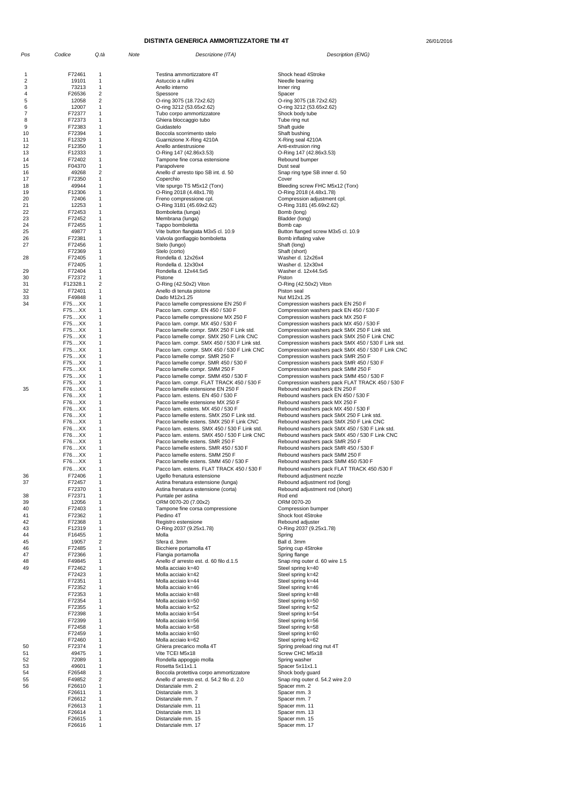26/01/2016

| Pos      | Codice             | Q.tà                | Note | Descrizione (ITA)                                                                        | Description (ENG)                                                                                 |
|----------|--------------------|---------------------|------|------------------------------------------------------------------------------------------|---------------------------------------------------------------------------------------------------|
|          |                    |                     |      |                                                                                          |                                                                                                   |
| 1        | F72461             | 1                   |      | Testina ammortizzatore 4T                                                                | Shock head 4Stroke                                                                                |
| 2<br>3   | 19101<br>73213     | 1<br>$\mathbf{1}$   |      | Astuccio a rullini<br>Anello interno                                                     | Needle bearing<br>Inner ring                                                                      |
| 4        | F26536             | $\overline{c}$      |      | Spessore                                                                                 | Spacer                                                                                            |
| 5        | 12058              | $\overline{c}$      |      | O-ring 3075 (18.72x2.62)                                                                 | O-ring 3075 (18.72x2.62)                                                                          |
| 6<br>7   | 12007<br>F72377    | 1<br>1              |      | O-ring 3212 (53.65x2.62)<br>Tubo corpo ammortizzatore                                    | O-ring 3212 (53.65x2.62)<br>Shock body tube                                                       |
| 8        | F72373             | 1                   |      | Ghiera bloccaggio tubo                                                                   | Tube ring nut                                                                                     |
| 9        | F72383             | 1                   |      | Guidastelo                                                                               | Shaft guide                                                                                       |
| 10<br>11 | F72394<br>F12329   | 1<br>1              |      | Boccola scorrimento stelo                                                                | Shaft bushing                                                                                     |
| 12       | F12350             | 1                   |      | Guarnizione X-Ring 4210A<br>Anello antiestrusione                                        | X-Ring seal 4210A<br>Anti-extrusion ring                                                          |
| 13       | F12333             | 1                   |      | O-Ring 147 (42.86x3.53)                                                                  | O-Ring 147 (42.86x3.53)                                                                           |
| 14       | F72402             | 1                   |      | Tampone fine corsa estensione                                                            | Rebound bumper                                                                                    |
| 15<br>16 | F04370<br>49268    | 1<br>$\overline{c}$ |      | Parapolvere<br>Anello d' arresto tipo SB int. d. 50                                      | Dust seal<br>Snap ring type SB inner d. 50                                                        |
| 17       | F72350             | 1                   |      | Coperchio                                                                                | Cover                                                                                             |
| 18       | 49944              | 1                   |      | Vite spurgo TS M5x12 (Torx)                                                              | Bleeding screw FHC M5x12 (Torx)                                                                   |
| 19<br>20 | F12306<br>72406    | 1<br>1              |      | O-Ring 2018 (4.48x1.78)<br>Freno compressione cpl.                                       | O-Ring 2018 (4.48x1.78)<br>Compression adjustment cpl.                                            |
| 21       | 12253              | 1                   |      | O-Ring 3181 (45.69x2.62)                                                                 | O-Ring 3181 (45.69x2.62)                                                                          |
| 22       | F72453             | 1                   |      | Bomboletta (lunga)                                                                       | Bomb (long)                                                                                       |
| 23<br>24 | F72452<br>F72455   | 1<br>1              |      | Membrana (lunga)<br>Tappo bomboletta                                                     | Bladder (long)<br>Bomb cap                                                                        |
| 25       | 49877              | 1                   |      | Vite button flangiata M3x5 cl. 10.9                                                      | Button flanged screw M3x5 cl. 10.9                                                                |
| 26       | F72381             | 1                   |      | Valvola gonfiaggio bomboletta                                                            | Bomb inflating valve                                                                              |
| 27       | F72456             | 1                   |      | Stelo (lungo)                                                                            | Shaft (long)                                                                                      |
| 28       | F72369<br>F72405   | 1<br>1              |      | Stelo (corto)<br>Rondella d. 12x26x4                                                     | Shaft (short)<br>Washer d. 12x26x4                                                                |
|          | F72405             | 1                   |      | Rondella d. 12x30x4                                                                      | Washer d. 12x30x4                                                                                 |
| 29       | F72404             | 1                   |      | Rondella d. 12x44.5x5                                                                    | Washer d. 12x44.5x5                                                                               |
| 30<br>31 | F72372<br>F12328.1 | $\mathbf{1}$<br>2   |      | Pistone<br>O-Ring (42.50x2) Viton                                                        | Piston<br>$O-Ring (42.50x2)$ Viton                                                                |
| 32       | F72401             | $\mathbf{1}$        |      | Anello di tenuta pistone                                                                 | Piston seal                                                                                       |
| 33       | F49848             | 1                   |      | Dado M12x1.25                                                                            | Nut M12x1.25                                                                                      |
| 34       | F75XX<br>F75XX     | $\mathbf{1}$<br>1   |      | Pacco lamelle compressione EN 250 F                                                      | Compression washers pack EN 250 F                                                                 |
|          | F75XX              | 1                   |      | Pacco lam. compr. EN 450 / 530 F<br>Pacco lamelle compressione MX 250 F                  | Compression washers pack EN 450 / 530 F<br>Compression washers pack MX 250 F                      |
|          | F75XX              | 1                   |      | Pacco lam. compr. MX 450 / 530 F                                                         | Compression washers pack MX 450 / 530 F                                                           |
|          | F75XX              | 1                   |      | Pacco lamelle compr. SMX 250 F Link std.                                                 | Compression washers pack SMX 250 F Link std.                                                      |
|          | F75XX<br>F75XX     | 1<br>1              |      | Pacco lamelle compr. SMX 250 F Link CNC<br>Pacco lam. compr. SMX 450 / 530 F Link std.   | Compression washers pack SMX 250 F Link CNC<br>Compression washers pack SMX 450 / 530 F Link std. |
|          | F75XX              | 1                   |      | Pacco lam. compr. SMX 450 / 530 F Link CNC                                               | Compression washers pack SMX 450 / 530 F Link CNC                                                 |
|          | F75XX              | $\mathbf{1}$        |      | Pacco lamelle compr. SMR 250 F                                                           | Compression washers pack SMR 250 F                                                                |
|          | F75XX<br>F75XX     | 1<br>1              |      | Pacco lamelle compr. SMR 450 / 530 F<br>Pacco lamelle compr. SMM 250 F                   | Compression washers pack SMR 450 / 530 F<br>Compression washers pack SMM 250 F                    |
|          | F75XX              | 1                   |      | Pacco lamelle compr. SMM 450 / 530 F                                                     | Compression washers pack SMM 450 / 530 F                                                          |
|          | F75XX              | 1                   |      | Pacco lam. compr. FLAT TRACK 450 / 530 F                                                 | Compression washers pack FLAT TRACK 450 / 530 F                                                   |
| 35       | F76XX              | 1                   |      | Pacco lamelle estensione EN 250 F                                                        | Rebound washers pack EN 250 F                                                                     |
|          | F76XX<br>F76XX     | 1<br>1              |      | Pacco lam. estens. EN 450 / 530 F<br>Pacco lamelle estensione MX 250 F                   | Rebound washers pack EN 450 / 530 F<br>Rebound washers pack MX 250 F                              |
|          | F76XX              | 1                   |      | Pacco lam. estens. MX 450 / 530 F                                                        | Rebound washers pack MX 450 / 530 F                                                               |
|          | F76XX              | 1                   |      | Pacco lamelle estens. SMX 250 F Link std.                                                | Rebound washers pack SMX 250 F Link std.                                                          |
|          | F76XX              | 1                   |      | Pacco lamelle estens. SMX 250 F Link CNC<br>Pacco lam. estens. SMX 450 / 530 F Link std. | Rebound washers pack SMX 250 F Link CNC                                                           |
|          | F76XX<br>F76XX     | 1                   |      | Pacco lam. estens. SMX 450 / 530 F Link CNC                                              | Rebound washers pack SMX 450 / 530 F Link std.<br>Rebound washers pack SMX 450 / 530 F Link CNC   |
|          | F76XX              | 1                   |      | Pacco lamelle estens. SMR 250 F                                                          | Rebound washers pack SMR 250 F                                                                    |
|          | F76XX              | 1                   |      | Pacco lamelle estens. SMR 450 / 530 F                                                    | Rebound washers pack SMR 450 / 530 F                                                              |
|          | F76XX<br>F76XX     | 1                   |      | Pacco lamelle estens. SMM 250 F<br>Pacco lamelle estens. SMM 450 / 530 F                 | Rebound washers pack SMM 250 F<br>Rebound washers pack SMM 450 /530 F                             |
|          | F76XX              | 1                   |      | Pacco lam. estens. FLAT TRACK 450 / 530 F                                                | Rebound washers pack FLAT TRACK 450 /530 F                                                        |
| 36       | F72406             | 1                   |      | Ugello frenatura estensione                                                              | Rebound adjustment nozzle                                                                         |
| 37       | F72457             | 1                   |      | Astina frenatura estensione (lunga)                                                      | Rebound adjustment rod (long)                                                                     |
| 38       | F72370<br>F72371   | 1<br>1              |      | Astina frenatura estensione (corta)<br>Puntale per astina                                | Rebound adjustment rod (short)<br>Rod end                                                         |
| 39       | 12056              | 1                   |      | ORM 0070-20 (7.00x2)                                                                     | ORM 0070-20                                                                                       |
| 40       | F72403             | 1                   |      | Tampone fine corsa compressione                                                          | Compression bumper                                                                                |
| 41       | F72362<br>F72368   | 1<br>1              |      | Piedino 4T                                                                               | Shock foot 4Stroke<br>Rebound adjuster                                                            |
| 42<br>43 | F12319             | 1                   |      | Registro estensione<br>O-Ring 2037 (9.25x1.78)                                           | O-Ring 2037 (9.25x1.78)                                                                           |
| 44       | F16455             | 1                   |      | Molla                                                                                    | Spring                                                                                            |
| 45       | 19057              | $\overline{c}$      |      | Sfera d. 3mm                                                                             | Ball d. 3mm                                                                                       |
| 46<br>47 | F72485<br>F72366   | 1<br>1              |      | Bicchiere portamolla 4T<br>Flangia portamolla                                            | Spring cup 4Stroke<br>Spring flange                                                               |
| 48       | F49845             | 1                   |      | Anello d'arresto est. d. 60 filo d.1.5                                                   | Snap ring outer d. 60 wire 1.5                                                                    |
| 49       | F72462             | 1                   |      | Molla acciaio k=40                                                                       | Steel spring k=40                                                                                 |
|          | F72423             | 1                   |      | Molla acciaio k=42                                                                       | Steel spring k=42                                                                                 |
|          | F72351<br>F72352   | 1<br>1              |      | Molla acciaio k=44<br>Molla acciaio k=46                                                 | Steel spring k=44<br>Steel spring k=46                                                            |
|          | F72353             | 1                   |      | Molla acciaio k=48                                                                       | Steel spring k=48                                                                                 |
|          | F72354             | 1                   |      | Molla acciaio k=50                                                                       | Steel spring k=50                                                                                 |
|          | F72355<br>F72398   | 1<br>1              |      | Molla acciaio k=52<br>Molla acciaio k=54                                                 | Steel spring k=52<br>Steel spring k=54                                                            |
|          | F72399             | 1                   |      | Molla acciaio k=56                                                                       | Steel spring k=56                                                                                 |
|          | F72458             | 1                   |      | Molla acciaio k=58                                                                       | Steel spring k=58                                                                                 |
|          | F72459             | 1                   |      | Molla acciaio k=60                                                                       | Steel spring k=60                                                                                 |
| 50       | F72460<br>F72374   | 1<br>1              |      | Molla acciaio k=62<br>Ghiera precarico molla 4T                                          | Steel spring k=62<br>Spring preload ring nut 4T                                                   |
| 51       | 49475              | 1                   |      | Vite TCEI M5x18                                                                          | Screw CHC M5x18                                                                                   |
| 52       | 72089              | 1                   |      | Rondella appoggio molla                                                                  | Spring washer                                                                                     |
| 53<br>54 | 49601<br>F26548    | 1<br>1              |      | Rosetta 5x11x1.1                                                                         | Spacer 5x11x1.1<br>Shock body guard                                                               |
| 55       | F49852             | 2                   |      | Boccola protettiva corpo ammortizzatore<br>Anello d'arresto est. d. 54.2 filo d. 2.0     | Snap ring outer d. 54.2 wire 2.0                                                                  |
| 56       | F26610             | 1                   |      | Distanziale mm. 2                                                                        | Spacer mm. 2                                                                                      |
|          | F26611             |                     |      | Distanziale mm. 3                                                                        | Spacer mm. 3                                                                                      |
|          | F26612<br>F26613   | 1                   |      | Distanziale mm. 7<br>Distanziale mm. 11                                                  | Spacer mm. 7<br>Spacer mm. 11                                                                     |
|          | F26614             | 1                   |      | Distanziale mm. 13                                                                       | Spacer mm. 13                                                                                     |
|          | F26615             |                     |      | Distanziale mm. 15                                                                       | Spacer mm. 15                                                                                     |
|          | F26616             |                     |      | Distanziale mm. 17                                                                       | Spacer mm. 17                                                                                     |

### **DISTINTA GENERICA AMMORTIZZATORE TM 4T**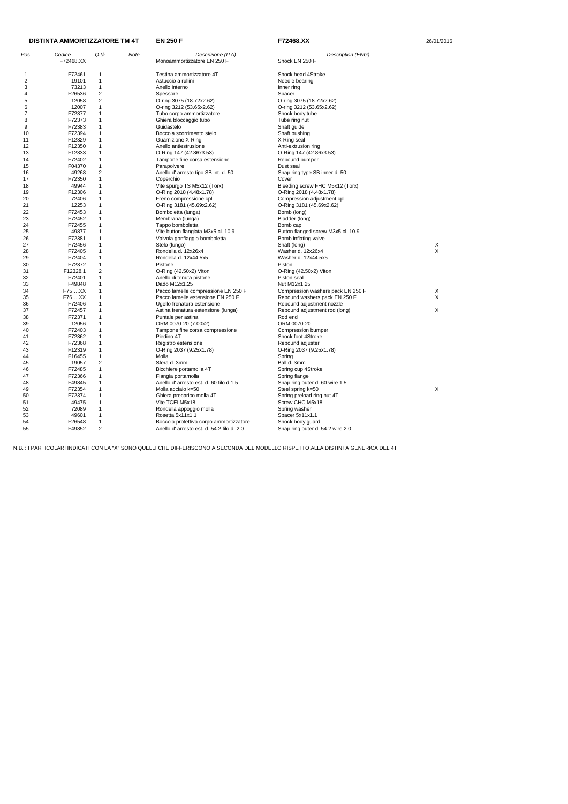|          | DISTINTA AMMORTIZZATORE TM 4T |                              |      | <b>EN 250 F</b>                              | F72468.XX                                | 26/01/2016 |
|----------|-------------------------------|------------------------------|------|----------------------------------------------|------------------------------------------|------------|
| Pos      | Codice                        | Q.tà                         | Note | Descrizione (ITA)                            | Description (ENG)                        |            |
|          | F72468.XX                     |                              |      | Monoammortizzatore EN 250 F                  | Shock EN 250 F                           |            |
| -1       | F72461                        | 1                            |      | Testina ammortizzatore 4T                    | Shock head 4Stroke                       |            |
| 2        | 19101                         | 1                            |      | Astuccio a rullini                           | Needle bearing                           |            |
| 3        | 73213                         | $\mathbf{1}$                 |      | Anello interno                               | Inner ring                               |            |
| 4        | F26536                        | $\overline{2}$               |      | Spessore                                     | Spacer                                   |            |
| 5        | 12058                         | $\overline{c}$               |      | O-ring 3075 (18.72x2.62)                     | O-ring 3075 (18.72x2.62)                 |            |
| 6        | 12007                         | 1                            |      | O-ring 3212 (53.65x2.62)                     | O-ring 3212 (53.65x2.62)                 |            |
| 7        | F72377                        | 1                            |      | Tubo corpo ammortizzatore                    | Shock body tube                          |            |
| 8        | F72373                        | 1                            |      | Ghiera bloccaggio tubo                       | Tube ring nut                            |            |
| 9        | F72383                        | 1                            |      | Guidastelo                                   | Shaft guide                              |            |
| 10       | F72394                        | 1                            |      | Boccola scorrimento stelo                    | Shaft bushing                            |            |
| 11       | F12329                        | $\mathbf{1}$                 |      | Guarnizione X-Ring                           | X-Ring seal                              |            |
| 12       | F12350                        | 1                            |      | Anello antiestrusione                        | Anti-extrusion ring                      |            |
| 13       | F12333                        | 1                            |      | O-Ring 147 (42.86x3.53)                      | O-Ring 147 (42.86x3.53)                  |            |
| 14       | F72402                        | 1                            |      | Tampone fine corsa estensione                | Rebound bumper                           |            |
| 15       | F04370                        | $\mathbf{1}$                 |      | Parapolvere                                  | Dust seal                                |            |
| 16       | 49268                         | 2                            |      | Anello d' arresto tipo SB int. d. 50         | Snap ring type SB inner d. 50            |            |
| 17       | F72350                        | $\mathbf{1}$                 |      | Coperchio                                    | Cover                                    |            |
| 18       | 49944                         | 1                            |      | Vite spurgo TS M5x12 (Torx)                  | Bleeding screw FHC M5x12 (Torx)          |            |
| 19       | F12306                        | $\mathbf{1}$                 |      | O-Ring 2018 (4.48x1.78)                      | O-Ring 2018 (4.48x1.78)                  |            |
| 20       | 72406                         | 1                            |      | Freno compressione cpl.                      | Compression adjustment cpl.              |            |
| 21       | 12253                         | 1                            |      | O-Ring 3181 (45.69x2.62)                     | O-Ring 3181 (45.69x2.62)                 |            |
| 22       | F72453                        | 1                            |      | Bomboletta (lunga)                           | Bomb (long)                              |            |
| 23       | F72452                        | 1                            |      | Membrana (lunga)                             | Bladder (long)                           |            |
| 24       | F72455                        | 1                            |      | Tappo bomboletta                             | Bomb cap                                 |            |
| 25       | 49877                         | 1                            |      | Vite button flangiata M3x5 cl. 10.9          | Button flanged screw M3x5 cl. 10.9       |            |
| 26       | F72381                        | 1                            |      | Valvola gonfiaggio bomboletta                | Bomb inflating valve                     |            |
| 27<br>28 | F72456<br>F72405              | $\mathbf{1}$<br>$\mathbf{1}$ |      | Stelo (lungo)                                | Shaft (long)                             | X<br>X     |
| 29       | F72404                        | 1                            |      | Rondella d. 12x26x4<br>Rondella d. 12x44.5x5 | Washer d. 12x26x4<br>Washer d. 12x44.5x5 |            |
| 30       | F72372                        | 1                            |      | Pistone                                      | Piston                                   |            |
| 31       | F12328.1                      | $\overline{c}$               |      | O-Ring (42.50x2) Viton                       | O-Ring (42.50x2) Viton                   |            |
| 32       | F72401                        | $\mathbf{1}$                 |      | Anello di tenuta pistone                     | Piston seal                              |            |
| 33       | F49848                        | 1                            |      | Dado M12x1.25                                | Nut M12x1.25                             |            |
| 34       | F75XX                         | 1                            |      | Pacco lamelle compressione EN 250 F          | Compression washers pack EN 250 F        | X          |
| 35       | F76XX                         | $\mathbf{1}$                 |      | Pacco lamelle estensione EN 250 F            | Rebound washers pack EN 250 F            | X          |
| 36       | F72406                        | $\mathbf{1}$                 |      | Ugello frenatura estensione                  | Rebound adjustment nozzle                |            |
| 37       | F72457                        | 1                            |      | Astina frenatura estensione (lunga)          | Rebound adjustment rod (long)            | Χ          |
| 38       | F72371                        | 1                            |      | Puntale per astina                           | Rod end                                  |            |
| 39       | 12056                         | 1                            |      | ORM 0070-20 (7.00x2)                         | ORM 0070-20                              |            |
| 40       | F72403                        | 1                            |      | Tampone fine corsa compressione              | Compression bumper                       |            |
| 41       | F72362                        | $\mathbf{1}$                 |      | Piedino 4T                                   | Shock foot 4Stroke                       |            |
| 42       | F72368                        | 1                            |      | Registro estensione                          | Rebound adjuster                         |            |
| 43       | F12319                        | 1                            |      | O-Ring 2037 (9.25x1.78)                      | O-Ring 2037 (9.25x1.78)                  |            |
| 44       | F16455                        | $\mathbf{1}$                 |      | Molla                                        | Spring                                   |            |
| 45       | 19057                         | $\overline{2}$               |      | Sfera d. 3mm                                 | Ball d. 3mm                              |            |
| 46       | F72485                        | $\mathbf{1}$                 |      | Bicchiere portamolla 4T                      | Spring cup 4Stroke                       |            |
| 47       | F72366                        | 1                            |      | Flangia portamolla                           | Spring flange                            |            |
| 48       | F49845                        | $\mathbf{1}$                 |      | Anello d'arresto est. d. 60 filo d.1.5       | Snap ring outer d. 60 wire 1.5           |            |
| 49       | F72354                        | $\mathbf{1}$                 |      | Molla acciaio k=50                           | Steel spring k=50                        | X          |
| 50       | F72374                        | 1                            |      | Ghiera precarico molla 4T                    | Spring preload ring nut 4T               |            |
| 51       | 49475                         | $\mathbf{1}$                 |      | Vite TCEI M5x18                              | Screw CHC M5x18                          |            |
| 52       | 72089                         | $\mathbf{1}$                 |      | Rondella appoggio molla                      | Spring washer                            |            |
| 53       | 49601                         | $\mathbf{1}$                 |      | Rosetta 5x11x1.1                             | Spacer 5x11x1.1                          |            |
| 54       | F26548                        | $\mathbf{1}$                 |      | Boccola protettiva corpo ammortizzatore      | Shock body guard                         |            |
| 55       | F49852                        | $\overline{2}$               |      | Anello d'arresto est. d. 54.2 filo d. 2.0    | Snap ring outer d. 54.2 wire 2.0         |            |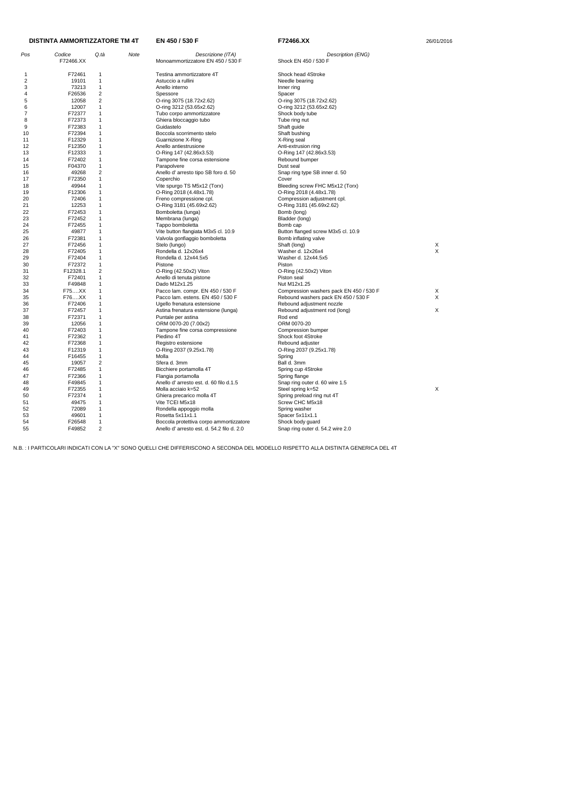| Pos            | Codice<br>F72466.XX | Q.tà                    | Note | Descrizione (ITA)<br>Monoammortizzatore EN 450 / 530 F | Description (ENG)<br>Shock EN 450 / 530 F |   |
|----------------|---------------------|-------------------------|------|--------------------------------------------------------|-------------------------------------------|---|
| 1              | F72461              | 1                       |      | Testina ammortizzatore 4T                              | Shock head 4Stroke                        |   |
| $\overline{2}$ | 19101               | 1                       |      | Astuccio a rullini                                     | Needle bearing                            |   |
| 3              | 73213               | $\mathbf{1}$            |      | Anello interno                                         | Inner ring                                |   |
| 4              | F26536              | $\overline{c}$          |      | Spessore                                               | Spacer                                    |   |
| 5              | 12058               | $\overline{\mathbf{c}}$ |      | O-ring 3075 (18.72x2.62)                               | O-ring 3075 (18.72x2.62)                  |   |
|                | 12007               | 1                       |      |                                                        |                                           |   |
| 6<br>7         |                     | 1                       |      | O-ring 3212 (53.65x2.62)                               | O-ring 3212 (53.65x2.62)                  |   |
|                | F72377              |                         |      | Tubo corpo ammortizzatore                              | Shock body tube                           |   |
| 8              | F72373              | 1                       |      | Ghiera bloccaggio tubo                                 | Tube ring nut                             |   |
| 9              | F72383              | 1                       |      | Guidastelo                                             | Shaft guide                               |   |
| 10             | F72394              | 1                       |      | Boccola scorrimento stelo                              | Shaft bushing                             |   |
| 11             | F12329              | 1                       |      | Guarnizione X-Ring                                     | X-Ring seal                               |   |
| 12             | F12350              | 1                       |      | Anello antiestrusione                                  | Anti-extrusion ring                       |   |
| 13             | F12333              | 1                       |      | O-Ring 147 (42.86x3.53)                                | O-Ring 147 (42.86x3.53)                   |   |
| 14             | F72402              | 1                       |      | Tampone fine corsa estensione                          | Rebound bumper                            |   |
| 15             | F04370              | 1                       |      | Parapolvere                                            | Dust seal                                 |   |
| 16             | 49268               | $\overline{2}$          |      | Anello d' arresto tipo SB foro d. 50                   | Snap ring type SB inner d. 50             |   |
| 17             | F72350              | 1                       |      | Coperchio                                              | Cover                                     |   |
| 18             | 49944               | 1                       |      | Vite spurgo TS M5x12 (Torx)                            | Bleeding screw FHC M5x12 (Torx)           |   |
| 19             | F12306              | 1                       |      | O-Ring 2018 (4.48x1.78)                                | O-Ring 2018 (4.48x1.78)                   |   |
| 20             | 72406               | 1                       |      | Freno compressione cpl.                                | Compression adjustment cpl.               |   |
| 21             | 12253               | 1                       |      | O-Ring 3181 (45.69x2.62)                               | O-Ring 3181 (45.69x2.62)                  |   |
| 22             | F72453              | 1                       |      | Bomboletta (lunga)                                     | Bomb (long)                               |   |
| 23             | F72452              | 1                       |      | Membrana (lunga)                                       | Bladder (long)                            |   |
| 24             | F72455              | 1                       |      | Tappo bomboletta                                       | Bomb cap                                  |   |
| 25             | 49877               | 1                       |      | Vite button flangiata M3x5 cl. 10.9                    | Button flanged screw M3x5 cl. 10.9        |   |
| 26             | F72381              | 1                       |      | Valvola gonfiaggio bomboletta                          | Bomb inflating valve                      |   |
| 27             | F72456              | 1                       |      | Stelo (lungo)                                          | Shaft (long)                              | Х |
| 28             | F72405              | 1                       |      | Rondella d. 12x26x4                                    | Washer d. 12x26x4                         | X |
| 29             | F72404              | 1                       |      | Rondella d. 12x44.5x5                                  | Washer d. 12x44.5x5                       |   |
| 30             | F72372              | 1                       |      | Pistone                                                | Piston                                    |   |
| 31             | F12328.1            | 2                       |      | O-Ring (42.50x2) Viton                                 | O-Ring (42.50x2) Viton                    |   |
| 32             | F72401              | 1                       |      | Anello di tenuta pistone                               | Piston seal                               |   |
| 33             | F49848              | 1                       |      | Dado M12x1.25                                          | Nut M12x1.25                              |   |
| 34             | F75XX               | 1                       |      | Pacco lam. compr. EN 450 / 530 F                       | Compression washers pack EN 450 / 530 F   | Х |
| 35             | F76XX               | 1                       |      | Pacco lam. estens. EN 450 / 530 F                      | Rebound washers pack EN 450 / 530 F       | Х |
| 36             | F72406              | 1                       |      | Ugello frenatura estensione                            | Rebound adjustment nozzle                 |   |
| 37             | F72457              | 1                       |      | Astina frenatura estensione (lunga)                    | Rebound adjustment rod (long)             | X |
| 38             | F72371              | 1                       |      | Puntale per astina                                     | Rod end                                   |   |
| 39             | 12056               | 1                       |      | ORM 0070-20 (7.00x2)                                   | ORM 0070-20                               |   |
| 40             | F72403              | 1                       |      |                                                        | Compression bumper                        |   |
| 41             | F72362              |                         |      | Tampone fine corsa compressione<br>Piedino 4T          | Shock foot 4Stroke                        |   |
|                |                     | 1                       |      |                                                        |                                           |   |
| 42             | F72368              |                         |      | Registro estensione                                    | Rebound adjuster                          |   |
| 43             | F12319<br>F16455    | 1<br>1                  |      | O-Ring 2037 (9.25x1.78)                                | O-Ring 2037 (9.25x1.78)                   |   |
| 44             |                     |                         |      | Molla                                                  | Spring                                    |   |
| 45             | 19057               | 2                       |      | Sfera d. 3mm                                           | Ball d. 3mm                               |   |
| 46             | F72485              | 1                       |      | Bicchiere portamolla 4T                                | Spring cup 4Stroke                        |   |
| 47             | F72366              | 1                       |      | Flangia portamolla                                     | Spring flange                             |   |
| 48             | F49845              | 1                       |      | Anello d'arresto est. d. 60 filo d.1.5                 | Snap ring outer d. 60 wire 1.5            |   |
| 49             | F72355              |                         |      | Molla acciaio k=52                                     | Steel spring k=52                         | X |
| 50             | F72374              |                         |      | Ghiera precarico molla 4T                              | Spring preload ring nut 4T                |   |
| 51             | 49475               | 1                       |      | Vite TCEI M5x18                                        | Screw CHC M5x18                           |   |
| 52             | 72089               | 1                       |      | Rondella appoggio molla                                | Spring washer                             |   |
| 53             | 49601               | 1                       |      | Rosetta 5x11x1.1                                       | Spacer 5x11x1.1                           |   |
| 54             | F26548              | 1                       |      | Boccola protettiva corpo ammortizzatore                | Shock body guard                          |   |
| 55             | F49852              | $\overline{2}$          |      | Anello d'arresto est. d. 54.2 filo d. 2.0              | Snap ring outer d. 54.2 wire 2.0          |   |

## **DISTINTA AMMORTIZZATORE TM 4T**

**EN 450 / 530 F 60 72466.XX F72466.XX** 26/01/2016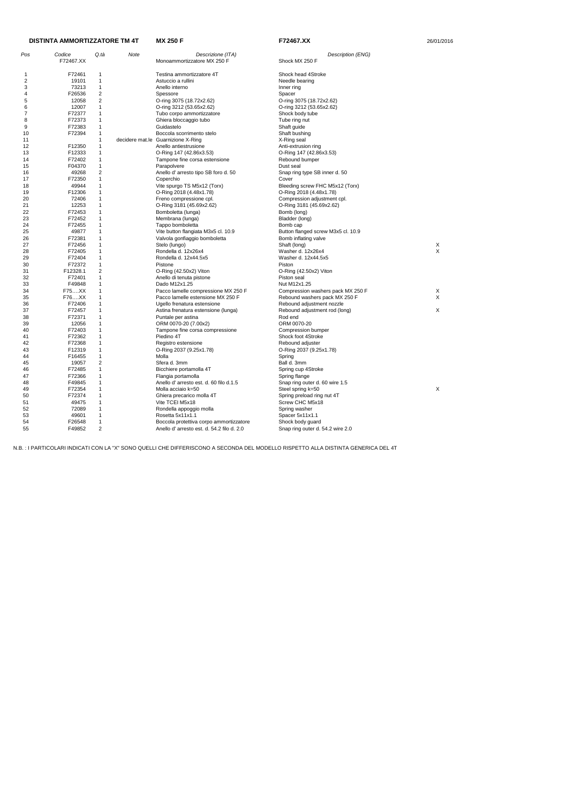|     | <b>DISTINTA AMMORTIZZATORE TM 4T</b> |                |      | <b>MX 250 F</b><br>F72467.XX              |                                    | 26/01/2016 |  |
|-----|--------------------------------------|----------------|------|-------------------------------------------|------------------------------------|------------|--|
| Pos | Codice                               | Q.tà           | Note | Descrizione (ITA)                         | Description (ENG)                  |            |  |
|     | F72467.XX                            |                |      | Monoammortizzatore MX 250 F               | Shock MX 250 F                     |            |  |
|     | F72461                               | -1             |      | Testina ammortizzatore 4T                 | Shock head 4Stroke                 |            |  |
| 2   | 19101                                | $\overline{1}$ |      | Astuccio a rullini                        | Needle bearing                     |            |  |
| 3   | 73213                                | $\mathbf{1}$   |      | Anello interno                            | Inner ring                         |            |  |
| 4   | F26536                               | $\overline{2}$ |      | Spessore                                  | Spacer                             |            |  |
| 5   | 12058                                | $\overline{2}$ |      | O-ring 3075 (18.72x2.62)                  | O-ring 3075 (18.72x2.62)           |            |  |
| 6   | 12007                                | $\overline{1}$ |      | O-ring 3212 (53.65x2.62)                  | O-ring 3212 (53.65x2.62)           |            |  |
| 7   | F72377                               | $\mathbf{1}$   |      | Tubo corpo ammortizzatore                 | Shock body tube                    |            |  |
| 8   | F72373                               | -1             |      | Ghiera bloccaggio tubo                    | Tube ring nut                      |            |  |
| 9   | F72383                               | $\mathbf{1}$   |      | Guidastelo                                | Shaft guide                        |            |  |
| 10  | F72394                               | $\mathbf 1$    |      | Boccola scorrimento stelo                 | Shaft bushing                      |            |  |
| 11  |                                      | $\mathbf{1}$   |      | decidere mat.le Guarnizione X-Ring        | X-Ring seal                        |            |  |
| 12  | F12350                               | $\mathbf{1}$   |      | Anello antiestrusione                     | Anti-extrusion ring                |            |  |
| 13  | F12333                               | $\mathbf{1}$   |      | O-Ring 147 (42.86x3.53)                   | O-Ring 147 (42.86x3.53)            |            |  |
| 14  | F72402                               | $\overline{1}$ |      | Tampone fine corsa estensione             | Rebound bumper                     |            |  |
| 15  | F04370                               | $\mathbf{1}$   |      | Parapolvere                               | Dust seal                          |            |  |
| 16  | 49268                                | $\overline{2}$ |      | Anello d' arresto tipo SB foro d. 50      | Snap ring type SB inner d. 50      |            |  |
| 17  | F72350                               | $\mathbf{1}$   |      | Coperchio                                 | Cover                              |            |  |
| 18  | 49944                                | -1             |      | Vite spurgo TS M5x12 (Torx)               | Bleeding screw FHC M5x12 (Torx)    |            |  |
| 19  | F12306                               | $\mathbf{1}$   |      | O-Ring 2018 (4.48x1.78)                   | O-Ring 2018 (4.48x1.78)            |            |  |
| 20  | 72406                                | $\mathbf{1}$   |      | Freno compressione cpl.                   | Compression adjustment cpl.        |            |  |
| 21  | 12253                                | -1             |      | O-Ring 3181 (45.69x2.62)                  | O-Ring 3181 (45.69x2.62)           |            |  |
| 22  | F72453                               | $\overline{1}$ |      | Bomboletta (lunga)                        | Bomb (long)                        |            |  |
| 23  | F72452                               | $\mathbf 1$    |      | Membrana (lunga)                          | Bladder (long)                     |            |  |
| 24  | F72455                               | $\overline{1}$ |      | Tappo bomboletta                          | Bomb cap                           |            |  |
| 25  | 49877                                | $\mathbf 1$    |      | Vite button flangiata M3x5 cl. 10.9       | Button flanged screw M3x5 cl. 10.9 |            |  |
| 26  | F72381                               | -1             |      | Valvola gonfiaggio bomboletta             | Bomb inflating valve               |            |  |
| 27  | F72456                               | -1             |      | Stelo (lungo)                             | Shaft (long)                       | Х          |  |
| 28  | F72405                               | $\mathbf{1}$   |      | Rondella d. 12x26x4                       | Washer d. 12x26x4                  | X          |  |
| 29  | F72404                               | $\mathbf{1}$   |      | Rondella d. 12x44.5x5                     | Washer d. 12x44.5x5                |            |  |
| 30  | F72372                               | $\mathbf{1}$   |      | Pistone                                   | Piston                             |            |  |
| 31  | F12328.1                             | $\overline{2}$ |      | O-Ring (42.50x2) Viton                    | O-Ring (42.50x2) Viton             |            |  |
| 32  | F72401                               | $\mathbf 1$    |      | Anello di tenuta pistone                  | Piston seal                        |            |  |
| 33  | F49848                               | $\mathbf{1}$   |      | Dado M12x1.25                             | Nut M12x1.25                       |            |  |
| 34  | F75XX                                | $\mathbf 1$    |      | Pacco lamelle compressione MX 250 F       | Compression washers pack MX 250 F  | X          |  |
| 35  | F76XX                                | $\mathbf{1}$   |      | Pacco lamelle estensione MX 250 F         | Rebound washers pack MX 250 F      | X          |  |
| 36  | F72406                               | $\mathbf{1}$   |      | Ugello frenatura estensione               | Rebound adjustment nozzle          |            |  |
| 37  | F72457                               | -1             |      | Astina frenatura estensione (lunga)       | Rebound adjustment rod (long)      | Χ          |  |
| 38  | F72371                               | $\mathbf 1$    |      | Puntale per astina                        | Rod end                            |            |  |
| 39  | 12056                                | -1             |      | ORM 0070-20 (7.00x2)                      | ORM 0070-20                        |            |  |
| 40  | F72403                               | -1             |      | Tampone fine corsa compressione           | Compression bumper                 |            |  |
| 41  | F72362                               | $\overline{1}$ |      | Piedino 4T                                | Shock foot 4Stroke                 |            |  |
| 42  | F72368                               | -1             |      | Registro estensione                       | Rebound adjuster                   |            |  |
| 43  | F12319                               | $\mathbf{1}$   |      | O-Ring 2037 (9.25x1.78)                   | O-Ring 2037 (9.25x1.78)            |            |  |
| 44  | F16455                               | $\mathbf{1}$   |      | Molla                                     | Spring                             |            |  |
| 45  | 19057                                | $\overline{c}$ |      | Sfera d. 3mm                              | Ball d. 3mm                        |            |  |
| 46  | F72485                               | $\mathbf{1}$   |      | Bicchiere portamolla 4T                   | Spring cup 4Stroke                 |            |  |
| 47  | F72366                               | -1             |      | Flangia portamolla                        | Spring flange                      |            |  |
| 48  | F49845                               | $\mathbf{1}$   |      | Anello d'arresto est. d. 60 filo d.1.5    | Snap ring outer d. 60 wire 1.5     |            |  |
| 49  | F72354                               | $\mathbf 1$    |      | Molla acciaio k=50                        | Steel spring k=50                  | X          |  |
| 50  | F72374                               | $\mathbf{1}$   |      | Ghiera precarico molla 4T                 | Spring preload ring nut 4T         |            |  |
| 51  | 49475                                | $\overline{1}$ |      | Vite TCEI M5x18                           | Screw CHC M5x18                    |            |  |
| 52  | 72089                                | $\overline{1}$ |      | Rondella appoggio molla                   | Spring washer                      |            |  |
| 53  | 49601                                | $\mathbf 1$    |      | Rosetta 5x11x1.1                          | Spacer 5x11x1.1                    |            |  |
| 54  | F26548                               | $\mathbf{1}$   |      | Boccola protettiva corpo ammortizzatore   | Shock body guard                   |            |  |
| 55  | F49852                               | 2              |      | Anello d'arresto est. d. 54.2 filo d. 2.0 | Snap ring outer d. 54.2 wire 2.0   |            |  |
|     |                                      |                |      |                                           |                                    |            |  |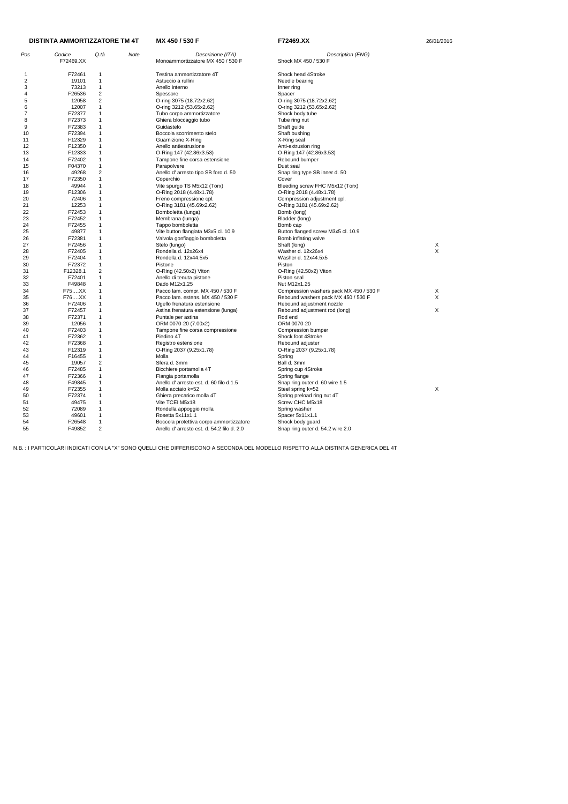| Pos | Codice    | Q.tà           | Note | Descrizione (ITA)                         | Description (ENG)                       |   |
|-----|-----------|----------------|------|-------------------------------------------|-----------------------------------------|---|
|     | F72469.XX |                |      | Monoammortizzatore MX 450 / 530 F         | Shock MX 450 / 530 F                    |   |
| -1  | F72461    | 1              |      | Testina ammortizzatore 4T                 | Shock head 4Stroke                      |   |
| 2   | 19101     | 1              |      | Astuccio a rullini                        | Needle bearing                          |   |
| 3   | 73213     | 1              |      | Anello interno                            | Inner ring                              |   |
| 4   | F26536    | 2              |      | Spessore                                  | Spacer                                  |   |
| 5   | 12058     | $\overline{2}$ |      | O-ring 3075 (18.72x2.62)                  | O-ring 3075 (18.72x2.62)                |   |
| 6   | 12007     | 1              |      | O-ring 3212 (53.65x2.62)                  | O-ring 3212 (53.65x2.62)                |   |
| 7   | F72377    | 1              |      | Tubo corpo ammortizzatore                 | Shock body tube                         |   |
| 8   | F72373    | 1              |      | Ghiera bloccaggio tubo                    | Tube ring nut                           |   |
| 9   | F72383    | 1              |      | Guidastelo                                | Shaft guide                             |   |
| 10  | F72394    | 1              |      | Boccola scorrimento stelo                 | Shaft bushing                           |   |
| 11  | F12329    | 1              |      | Guarnizione X-Ring                        | X-Ring seal                             |   |
| 12  | F12350    | 1              |      | Anello antiestrusione                     | Anti-extrusion ring                     |   |
| 13  | F12333    | 1              |      | O-Ring 147 (42.86x3.53)                   | O-Ring 147 (42.86x3.53)                 |   |
| 14  | F72402    | 1              |      | Tampone fine corsa estensione             | Rebound bumper                          |   |
| 15  | F04370    | 1              |      | Parapolvere                               | Dust seal                               |   |
| 16  | 49268     | $\overline{2}$ |      | Anello d' arresto tipo SB foro d. 50      | Snap ring type SB inner d. 50           |   |
| 17  | F72350    | 1              |      | Coperchio                                 | Cover                                   |   |
| 18  | 49944     | 1              |      | Vite spurgo TS M5x12 (Torx)               | Bleeding screw FHC M5x12 (Torx)         |   |
| 19  | F12306    | 1              |      | O-Ring 2018 (4.48x1.78)                   | O-Ring 2018 (4.48x1.78)                 |   |
| 20  | 72406     | 1              |      | Freno compressione cpl.                   | Compression adjustment cpl.             |   |
| 21  | 12253     | 1              |      | O-Ring 3181 (45.69x2.62)                  | O-Ring 3181 (45.69x2.62)                |   |
| 22  | F72453    | 1              |      | Bomboletta (lunga)                        | Bomb (long)                             |   |
| 23  | F72452    | 1              |      | Membrana (lunga)                          | Bladder (long)                          |   |
| 24  | F72455    | 1              |      | Tappo bomboletta                          | Bomb cap                                |   |
| 25  | 49877     | 1              |      | Vite button flangiata M3x5 cl. 10.9       | Button flanged screw M3x5 cl. 10.9      |   |
| 26  | F72381    | 1              |      | Valvola gonfiaggio bomboletta             | Bomb inflating valve                    |   |
| 27  | F72456    | 1              |      | Stelo (lungo)                             | Shaft (long)                            | X |
| 28  | F72405    | 1              |      | Rondella d. 12x26x4                       | Washer d. 12x26x4                       | X |
| 29  | F72404    | 1              |      | Rondella d. 12x44.5x5                     | Washer d. 12x44.5x5                     |   |
| 30  | F72372    | 1              |      | Pistone                                   | Piston                                  |   |
| 31  | F12328.1  | $\overline{2}$ |      | O-Ring (42.50x2) Viton                    | O-Ring (42.50x2) Viton                  |   |
| 32  | F72401    | 1              |      | Anello di tenuta pistone                  | Piston seal                             |   |
| 33  | F49848    | 1              |      | Dado M12x1.25                             | Nut M12x1.25                            |   |
| 34  | F75XX     | 1              |      | Pacco lam. compr. MX 450 / 530 F          | Compression washers pack MX 450 / 530 F | X |
| 35  | F76XX     | 1              |      | Pacco lam. estens. MX 450 / 530 F         | Rebound washers pack MX 450 / 530 F     | X |
| 36  | F72406    | 1              |      | Ugello frenatura estensione               | Rebound adjustment nozzle               |   |
| 37  | F72457    | 1              |      | Astina frenatura estensione (lunga)       | Rebound adjustment rod (long)           | X |
| 38  | F72371    | 1              |      | Puntale per astina                        | Rod end                                 |   |
| 39  | 12056     | 1              |      | ORM 0070-20 (7.00x2)                      | ORM 0070-20                             |   |
| 40  | F72403    | 1              |      | Tampone fine corsa compressione           | Compression bumper                      |   |
| 41  | F72362    | 1              |      | Piedino 4T                                | Shock foot 4Stroke                      |   |
| 42  | F72368    | 1              |      | Registro estensione                       | Rebound adjuster                        |   |
| 43  | F12319    | 1              |      | O-Ring 2037 (9.25x1.78)                   | O-Ring 2037 (9.25x1.78)                 |   |
| 44  | F16455    | 1              |      | Molla                                     | Spring                                  |   |
| 45  | 19057     | 2              |      | Sfera d. 3mm                              | Ball d. 3mm                             |   |
| 46  | F72485    | 1              |      | Bicchiere portamolla 4T                   | Spring cup 4Stroke                      |   |
| 47  | F72366    | 1              |      | Flangia portamolla                        | Spring flange                           |   |
| 48  | F49845    | 1              |      | Anello d'arresto est. d. 60 filo d.1.5    | Snap ring outer d. 60 wire 1.5          |   |
| 49  | F72355    | 1              |      | Molla acciaio k=52                        | Steel spring k=52                       | X |
| 50  | F72374    | 1              |      | Ghiera precarico molla 4T                 | Spring preload ring nut 4T              |   |
| 51  | 49475     | 1              |      | Vite TCEI M5x18                           | Screw CHC M5x18                         |   |
| 52  | 72089     | 1              |      | Rondella appoggio molla                   | Spring washer                           |   |
| 53  | 49601     | 1              |      | Rosetta 5x11x1.1                          | Spacer 5x11x1.1                         |   |
| 54  | F26548    | 1              |      | Boccola protettiva corpo ammortizzatore   | Shock body guard                        |   |
| 55  | F49852    | $\overline{2}$ |      | Anello d'arresto est. d. 54.2 filo d. 2.0 | Snap ring outer d. 54.2 wire 2.0        |   |

#### **MX 450 / 530 F F72469.XX** 26/01/2016 **DISTINTA AMMORTIZZATORE TM 4T**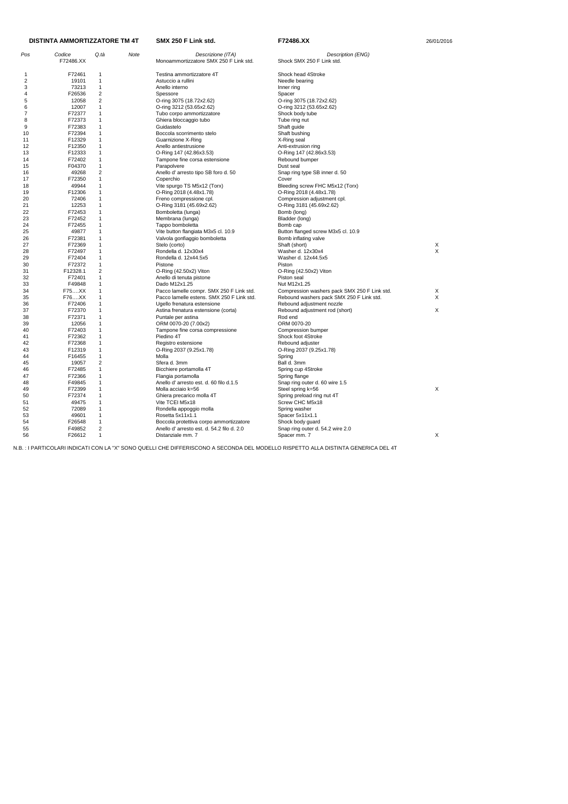| Pos | Codice<br>F72486.XX | Q.tà           | Note | Descrizione (ITA)<br>Monoammortizzatore SMX 250 F Link std. | Description (ENG)<br>Shock SMX 250 F Link std. |   |
|-----|---------------------|----------------|------|-------------------------------------------------------------|------------------------------------------------|---|
| -1  | F72461              | $\mathbf 1$    |      | Testina ammortizzatore 4T                                   | Shock head 4Stroke                             |   |
| 2   | 19101               | $\mathbf{1}$   |      | Astuccio a rullini                                          | Needle bearing                                 |   |
| 3   | 73213               | 1              |      | Anello interno                                              | Inner ring                                     |   |
| 4   | F26536              | $\overline{2}$ |      | Spessore                                                    | Spacer                                         |   |
| 5   | 12058               | 2              |      | O-ring 3075 (18.72x2.62)                                    | O-ring 3075 (18.72x2.62)                       |   |
| 6   | 12007               | $\mathbf{1}$   |      | O-ring 3212 (53.65x2.62)                                    | O-ring 3212 (53.65x2.62)                       |   |
| 7   | F72377              | $\mathbf{1}$   |      | Tubo corpo ammortizzatore                                   | Shock body tube                                |   |
| 8   | F72373              | 1              |      | Ghiera bloccaggio tubo                                      | Tube ring nut                                  |   |
| 9   | F72383              | $\mathbf{1}$   |      | Guidastelo                                                  | Shaft guide                                    |   |
| 10  | F72394              | 1              |      | Boccola scorrimento stelo                                   | Shaft bushing                                  |   |
| 11  | F12329              | 1              |      | Guarnizione X-Ring                                          | X-Ring seal                                    |   |
| 12  | F12350              | $\mathbf{1}$   |      | Anello antiestrusione                                       | Anti-extrusion ring                            |   |
| 13  | F12333              | $\mathbf 1$    |      | O-Ring 147 (42.86x3.53)                                     | O-Ring 147 (42.86x3.53)                        |   |
| 14  | F72402              | $\mathbf{1}$   |      | Tampone fine corsa estensione                               | Rebound bumper                                 |   |
| 15  | F04370              | 1              |      | Parapolvere                                                 | Dust seal                                      |   |
| 16  | 49268               | $\overline{c}$ |      | Anello d' arresto tipo SB foro d. 50                        | Snap ring type SB inner d. 50                  |   |
| 17  | F72350              | $\mathbf{1}$   |      | Coperchio                                                   | Cover                                          |   |
| 18  | 49944               | 1              |      | Vite spurgo TS M5x12 (Torx)                                 | Bleeding screw FHC M5x12 (Torx)                |   |
| 19  | F12306              | $\mathbf{1}$   |      | O-Ring 2018 (4.48x1.78)                                     | O-Ring 2018 (4.48x1.78)                        |   |
| 20  | 72406               | $\mathbf 1$    |      | Freno compressione cpl.                                     | Compression adjustment cpl.                    |   |
| 21  | 12253               | 1              |      | O-Ring 3181 (45.69x2.62)                                    | O-Ring 3181 (45.69x2.62)                       |   |
| 22  | F72453              | $\mathbf{1}$   |      | Bomboletta (lunga)                                          | Bomb (long)                                    |   |
| 23  | F72452              | 1              |      | Membrana (lunga)                                            | Bladder (long)                                 |   |
| 24  | F72455              | 1              |      | Tappo bomboletta                                            | Bomb cap                                       |   |
| 25  | 49877               | $\mathbf{1}$   |      | Vite button flangiata M3x5 cl. 10.9                         | Button flanged screw M3x5 cl. 10.9             |   |
| 26  | F72381              | 1              |      | Valvola gonfiaggio bomboletta                               | Bomb inflating valve                           |   |
| 27  | F72369              | $\mathbf{1}$   |      | Stelo (corto)                                               | Shaft (short)                                  | Х |
| 28  | F72497              | $\mathbf{1}$   |      | Rondella d. 12x30x4                                         | Washer d. 12x30x4                              | X |
| 29  | F72404              | 1              |      | Rondella d. 12x44.5x5                                       | Washer d. 12x44.5x5                            |   |
| 30  | F72372              | $\mathbf{1}$   |      | Pistone                                                     | Piston                                         |   |
| 31  | F12328.1            | $\overline{2}$ |      | O-Ring (42.50x2) Viton                                      | O-Ring (42.50x2) Viton                         |   |
| 32  | F72401              | 1              |      | Anello di tenuta pistone                                    | Piston seal                                    |   |
| 33  | F49848              | 1              |      | Dado M12x1.25                                               | Nut M12x1.25                                   |   |
| 34  | F75XX               | $\mathbf 1$    |      | Pacco lamelle compr. SMX 250 F Link std.                    | Compression washers pack SMX 250 F Link std.   | Х |
| 35  | F76XX               | $\mathbf{1}$   |      | Pacco lamelle estens. SMX 250 F Link std.                   | Rebound washers pack SMX 250 F Link std.       | X |
| 36  | F72406              | 1              |      | Ugello frenatura estensione                                 | Rebound adjustment nozzle                      |   |
| 37  | F72370              | 1              |      | Astina frenatura estensione (corta)                         | Rebound adjustment rod (short)                 | X |
| 38  | F72371              | $\mathbf{1}$   |      | Puntale per astina                                          | Rod end                                        |   |
| 39  | 12056               | 1              |      | ORM 0070-20 (7.00x2)                                        | ORM 0070-20                                    |   |
| 40  | F72403              |                |      | Tampone fine corsa compressione                             | Compression bumper                             |   |
| 41  | F72362              | 1              |      | Piedino 4T                                                  | Shock foot 4Stroke                             |   |
| 42  | F72368              | $\mathbf 1$    |      | Registro estensione                                         | Rebound adjuster                               |   |
| 43  | F12319              | 1              |      | O-Ring 2037 (9.25x1.78)                                     | O-Ring 2037 (9.25x1.78)                        |   |
| 44  | F16455              | 1              |      | Molla                                                       | Spring                                         |   |
| 45  | 19057               | 2              |      | Sfera d. 3mm                                                | Ball d. 3mm                                    |   |
| 46  | F72485              | $\mathbf{1}$   |      | Bicchiere portamolla 4T                                     | Spring cup 4Stroke                             |   |
| 47  | F72366              | 1              |      | Flangia portamolla                                          | Spring flange                                  |   |
| 48  | F49845              | 1              |      | Anello d'arresto est. d. 60 filo d.1.5                      | Snap ring outer d. 60 wire 1.5                 |   |
| 49  | F72399              | 1              |      | Molla acciaio k=56                                          | Steel spring k=56                              | X |
| 50  | F72374              | 1              |      | Ghiera precarico molla 4T                                   | Spring preload ring nut 4T                     |   |
| 51  | 49475               | $\mathbf{1}$   |      | Vite TCEI M5x18                                             | Screw CHC M5x18                                |   |
| 52  | 72089               | $\mathbf{1}$   |      | Rondella appoggio molla                                     | Spring washer                                  |   |
| 53  | 49601               | 1              |      | Rosetta 5x11x1.1                                            | Spacer 5x11x1.1                                |   |
| 54  | F26548              | $\mathbf{1}$   |      | Boccola protettiva corpo ammortizzatore                     | Shock body guard                               |   |
| 55  | F49852              | 2              |      | Anello d' arresto est. d. 54.2 filo d. 2.0                  | Snap ring outer d. 54.2 wire 2.0               |   |
| 56  | F26612              | $\mathbf{1}$   |      | Distanziale mm. 7                                           | Spacer mm. 7                                   | X |
|     |                     |                |      |                                                             |                                                |   |

### **DISTINTA AMMORTIZZATORE TM 4T**

**SMX 250 F Link std. F72486.XX EXECUTE: F72486.XX** 26/01/2016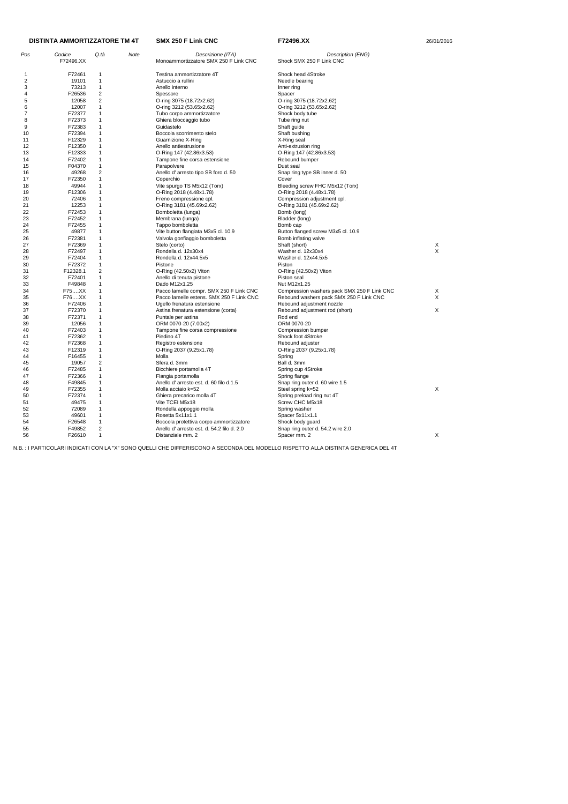| Pos | Codice<br>F72496.XX | Q.tà           | Note | Descrizione (ITA)<br>Monoammortizzatore SMX 250 F Link CNC | Description (ENG)<br>Shock SMX 250 F Link CNC |   |
|-----|---------------------|----------------|------|------------------------------------------------------------|-----------------------------------------------|---|
| 1   | F72461              | -1             |      | Testina ammortizzatore 4T                                  | Shock head 4Stroke                            |   |
| 2   | 19101               | $\mathbf{1}$   |      | Astuccio a rullini                                         | Needle bearing                                |   |
| 3   | 73213               | $\mathbf{1}$   |      | Anello interno                                             | Inner ring                                    |   |
| 4   | F26536              | $\overline{c}$ |      | Spessore                                                   | Spacer                                        |   |
| 5   | 12058               | $\overline{c}$ |      | O-ring 3075 (18.72x2.62)                                   | O-ring 3075 (18.72x2.62)                      |   |
| 6   | 12007               | $\mathbf{1}$   |      | O-ring 3212 (53.65x2.62)                                   | O-ring 3212 (53.65x2.62)                      |   |
| 7   | F72377              | $\mathbf{1}$   |      | Tubo corpo ammortizzatore                                  | Shock body tube                               |   |
| 8   | F72373              | 1              |      |                                                            |                                               |   |
|     |                     | $\overline{1}$ |      | Ghiera bloccaggio tubo                                     | Tube ring nut                                 |   |
| 9   | F72383              |                |      | Guidastelo                                                 | Shaft guide                                   |   |
| 10  | F72394              | 1              |      | Boccola scorrimento stelo                                  | Shaft bushing                                 |   |
| 11  | F12329              | $\mathbf{1}$   |      | Guarnizione X-Ring                                         | X-Ring seal                                   |   |
| 12  | F12350              | $\mathbf{1}$   |      | Anello antiestrusione                                      | Anti-extrusion ring                           |   |
| 13  | F12333              | 1              |      | O-Ring 147 (42.86x3.53)                                    | O-Ring 147 (42.86x3.53)                       |   |
| 14  | F72402              | $\mathbf{1}$   |      | Tampone fine corsa estensione                              | Rebound bumper                                |   |
| 15  | F04370              | $\mathbf{1}$   |      | Parapolvere                                                | Dust seal                                     |   |
| 16  | 49268               | 2              |      | Anello d' arresto tipo SB foro d. 50                       | Snap ring type SB inner d. 50                 |   |
| 17  | F72350              | $\mathbf{1}$   |      | Coperchio                                                  | Cover                                         |   |
| 18  | 49944               | 1              |      | Vite spurgo TS M5x12 (Torx)                                | Bleeding screw FHC M5x12 (Torx)               |   |
| 19  | F12306              | $\mathbf{1}$   |      | O-Ring 2018 (4.48x1.78)                                    | O-Ring 2018 (4.48x1.78)                       |   |
| 20  | 72406               | 1              |      | Freno compressione cpl.                                    | Compression adjustment cpl.                   |   |
| 21  | 12253               | 1              |      | O-Ring 3181 (45.69x2.62)                                   | O-Ring 3181 (45.69x2.62)                      |   |
| 22  | F72453              | $\mathbf 1$    |      | Bomboletta (lunga)                                         | Bomb (long)                                   |   |
| 23  | F72452              | 1              |      | Membrana (lunga)                                           | Bladder (long)                                |   |
|     |                     |                |      |                                                            |                                               |   |
| 24  | F72455              | 1              |      | Tappo bomboletta                                           | Bomb cap                                      |   |
| 25  | 49877               | 1              |      | Vite button flangiata M3x5 cl. 10.9                        | Button flanged screw M3x5 cl. 10.9            |   |
| 26  | F72381              | -1             |      | Valvola gonfiaggio bomboletta                              | Bomb inflating valve                          |   |
| 27  | F72369              | $\mathbf{1}$   |      | Stelo (corto)                                              | Shaft (short)                                 | Х |
| 28  | F72497              | 1              |      | Rondella d. 12x30x4                                        | Washer d. 12x30x4                             | X |
| 29  | F72404              | 1              |      | Rondella d. 12x44.5x5                                      | Washer d. 12x44.5x5                           |   |
| 30  | F72372              | $\mathbf{1}$   |      | Pistone                                                    | Piston                                        |   |
| 31  | F12328.1            | 2              |      | O-Ring (42.50x2) Viton                                     | O-Ring (42.50x2) Viton                        |   |
| 32  | F72401              | $\mathbf{1}$   |      | Anello di tenuta pistone                                   | Piston seal                                   |   |
| 33  | F49848              | $\mathbf{1}$   |      | Dado M12x1.25                                              | Nut M12x1.25                                  |   |
| 34  | F75XX               | 1              |      | Pacco lamelle compr. SMX 250 F Link CNC                    | Compression washers pack SMX 250 F Link CNC   | Х |
| 35  | F76XX               | $\mathbf{1}$   |      | Pacco lamelle estens. SMX 250 F Link CNC                   | Rebound washers pack SMX 250 F Link CNC       | X |
| 36  | F72406              | 1              |      | Ugello frenatura estensione                                | Rebound adjustment nozzle                     |   |
| 37  | F72370              | 1              |      | Astina frenatura estensione (corta)                        | Rebound adjustment rod (short)                | Χ |
| 38  | F72371              | $\mathbf{1}$   |      | Puntale per astina                                         | Rod end                                       |   |
| 39  | 12056               | 1              |      | ORM 0070-20 (7.00x2)                                       | ORM 0070-20                                   |   |
|     |                     | 1              |      |                                                            |                                               |   |
| 40  | F72403              |                |      | Tampone fine corsa compressione                            | Compression bumper                            |   |
| 41  | F72362              |                |      | Piedino 4T                                                 | Shock foot 4Stroke                            |   |
| 42  | F72368              | 1              |      | Registro estensione                                        | Rebound adjuster                              |   |
| 43  | F12319              | 1              |      | O-Ring 2037 (9.25x1.78)                                    | O-Ring 2037 (9.25x1.78)                       |   |
| 44  | F16455              | $\mathbf{1}$   |      | Molla                                                      | Spring                                        |   |
| 45  | 19057               | 2              |      | Sfera d. 3mm                                               | Ball d. 3mm                                   |   |
| 46  | F72485              | $\mathbf{1}$   |      | Bicchiere portamolla 4T                                    | Spring cup 4Stroke                            |   |
| 47  | F72366              | 1              |      | Flangia portamolla                                         | Spring flange                                 |   |
| 48  | F49845              |                |      | Anello d'arresto est. d. 60 filo d.1.5                     | Snap ring outer d. 60 wire 1.5                |   |
| 49  | F72355              | 1              |      | Molla acciaio k=52                                         | Steel spring k=52                             | X |
| 50  | F72374              | 1              |      | Ghiera precarico molla 4T                                  | Spring preload ring nut 4T                    |   |
| 51  | 49475               | 1              |      | Vite TCEI M5x18                                            | Screw CHC M5x18                               |   |
| 52  | 72089               | 1              |      | Rondella appoggio molla                                    | Spring washer                                 |   |
| 53  | 49601               | 1              |      | Rosetta 5x11x1.1                                           | Spacer 5x11x1.1                               |   |
| 54  | F26548              | $\mathbf{1}$   |      | Boccola protettiva corpo ammortizzatore                    | Shock body guard                              |   |
|     |                     |                |      | Anello d'arresto est. d. 54.2 filo d. 2.0                  |                                               |   |
| 55  | F49852              | 2              |      |                                                            | Snap ring outer d. 54.2 wire 2.0              |   |
| 56  | F26610              | $\mathbf{1}$   |      | Distanziale mm. 2                                          | Spacer mm. 2                                  | X |

# **DISTINTA AMMORTIZZATORE TM 4T**

**SMX 250 F Link CNC F72496.XX F72496.XX** 26/01/2016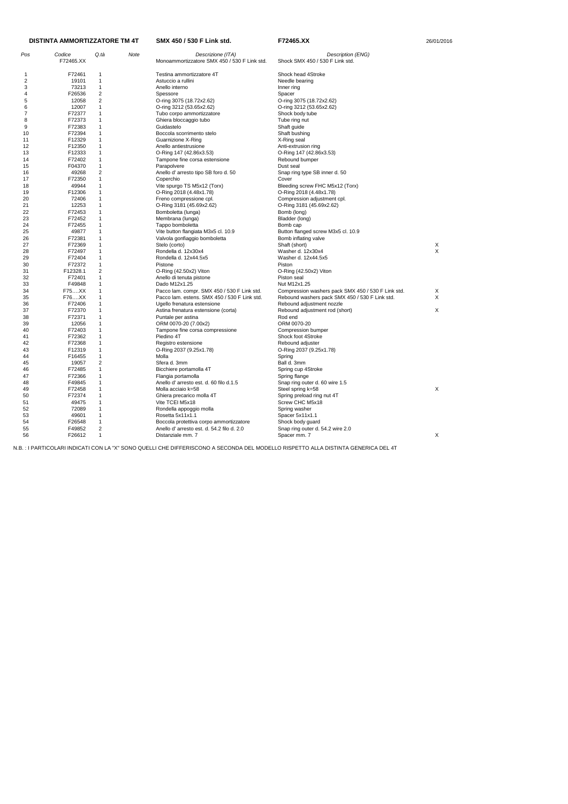|     | <b>DISTINTA AMMORTIZZATORE TM 4T</b> |                |      | SMX 450 / 530 F Link std.                                    | F72465.XX                                          | 26/01/2016 |  |
|-----|--------------------------------------|----------------|------|--------------------------------------------------------------|----------------------------------------------------|------------|--|
| Pos | Codice                               | Q.tà           | Note | Descrizione (ITA)                                            | Description (ENG)                                  |            |  |
|     | F72465.XX                            |                |      | Monoammortizzatore SMX 450 / 530 F Link std.                 | Shock SMX 450 / 530 F Link std.                    |            |  |
| -1  | F72461                               | 1              |      | Testina ammortizzatore 4T                                    | Shock head 4Stroke                                 |            |  |
| 2   | 19101                                | 1              |      | Astuccio a rullini                                           | Needle bearing                                     |            |  |
| 3   | 73213                                | 1              |      | Anello interno                                               | Inner ring                                         |            |  |
| 4   | F26536                               | $\overline{c}$ |      | Spessore                                                     | Spacer                                             |            |  |
| 5   | 12058                                | $\overline{c}$ |      | O-ring 3075 (18.72x2.62)                                     | O-ring 3075 (18.72x2.62)                           |            |  |
| 6   | 12007                                | 1              |      | O-ring 3212 (53.65x2.62)                                     | O-ring 3212 (53.65x2.62)                           |            |  |
| 7   | F72377                               | 1              |      | Tubo corpo ammortizzatore                                    | Shock body tube                                    |            |  |
| 8   | F72373                               | 1              |      | Ghiera bloccaggio tubo                                       | Tube ring nut                                      |            |  |
| 9   | F72383                               | 1              |      | Guidastelo                                                   | Shaft guide                                        |            |  |
| 10  | F72394                               | 1              |      | Boccola scorrimento stelo                                    | Shaft bushing                                      |            |  |
| 11  | F12329                               | 1              |      | Guarnizione X-Ring                                           | X-Ring seal                                        |            |  |
| 12  | F12350                               | 1              |      | Anello antiestrusione                                        | Anti-extrusion ring                                |            |  |
| 13  | F12333                               | 1              |      | O-Ring 147 (42.86x3.53)                                      | O-Ring 147 (42.86x3.53)                            |            |  |
| 14  | F72402                               | 1              |      |                                                              | Rebound bumper                                     |            |  |
|     | F04370                               | 1              |      | Tampone fine corsa estensione                                | Dust seal                                          |            |  |
| 15  |                                      |                |      | Parapolvere                                                  |                                                    |            |  |
| 16  | 49268                                | $\overline{c}$ |      | Anello d' arresto tipo SB foro d. 50                         | Snap ring type SB inner d. 50                      |            |  |
| 17  | F72350                               | 1              |      | Coperchio                                                    | Cover                                              |            |  |
| 18  | 49944                                | 1              |      | Vite spurgo TS M5x12 (Torx)                                  | Bleeding screw FHC M5x12 (Torx)                    |            |  |
| 19  | F12306                               | 1              |      | O-Ring 2018 (4.48x1.78)                                      | O-Ring 2018 (4.48x1.78)                            |            |  |
| 20  | 72406                                | 1              |      | Freno compressione cpl.                                      | Compression adjustment cpl.                        |            |  |
| 21  | 12253                                | 1              |      | O-Ring 3181 (45.69x2.62)                                     | O-Ring 3181 (45.69x2.62)                           |            |  |
| 22  | F72453                               | 1              |      | Bomboletta (lunga)                                           | Bomb (long)                                        |            |  |
| 23  | F72452                               | 1              |      | Membrana (lunga)                                             | Bladder (long)                                     |            |  |
| 24  | F72455                               | 1              |      | Tappo bomboletta                                             | Bomb cap                                           |            |  |
| 25  | 49877                                | 1              |      | Vite button flangiata M3x5 cl. 10.9                          | Button flanged screw M3x5 cl. 10.9                 |            |  |
| 26  | F72381                               | 1              |      | Valvola gonfiaggio bomboletta                                | Bomb inflating valve                               |            |  |
| 27  | F72369                               | 1              |      | Stelo (corto)                                                | Shaft (short)                                      | Х          |  |
| 28  | F72497                               | 1              |      | Rondella d. 12x30x4                                          | Washer d. 12x30x4                                  | X          |  |
| 29  | F72404                               | 1              |      | Rondella d. 12x44.5x5                                        | Washer d. 12x44.5x5                                |            |  |
| 30  | F72372                               | 1              |      | Pistone                                                      | Piston                                             |            |  |
| 31  | F12328.1                             | 2              |      | $O-Ring (42.50x2)$ Viton                                     | O-Ring (42.50x2) Viton                             |            |  |
| 32  | F72401                               | 1              |      | Anello di tenuta pistone                                     | Piston seal                                        |            |  |
| 33  | F49848                               | 1              |      | Dado M12x1.25                                                | Nut M12x1.25                                       |            |  |
| 34  | F75XX                                | 1              |      | Pacco lam. compr. SMX 450 / 530 F Link std.                  | Compression washers pack SMX 450 / 530 F Link std. | Х          |  |
| 35  | F76XX                                | 1              |      | Pacco lam. estens. SMX 450 / 530 F Link std.                 | Rebound washers pack SMX 450 / 530 F Link std.     | X          |  |
| 36  | F72406                               | 1              |      | Ugello frenatura estensione                                  | Rebound adjustment nozzle                          |            |  |
| 37  | F72370                               | 1              |      | Astina frenatura estensione (corta)                          | Rebound adjustment rod (short)                     | X          |  |
| 38  | F72371                               | $\mathbf 1$    |      | Puntale per astina                                           | Rod end                                            |            |  |
| 39  | 12056                                |                |      | ORM 0070-20 (7.00x2)                                         | ORM 0070-20                                        |            |  |
| 40  | F72403                               |                |      | Tampone fine corsa compressione                              | Compression bumper                                 |            |  |
| 41  | F72362                               |                |      | Piedino 4T                                                   | Shock foot 4Stroke                                 |            |  |
| 42  | F72368                               | $\mathbf 1$    |      | Registro estensione                                          | Rebound adjuster                                   |            |  |
| 43  | F12319                               | 1              |      | O-Ring 2037 (9.25x1.78)                                      | O-Ring 2037 (9.25x1.78)                            |            |  |
| 44  | F16455                               | 1              |      | Molla                                                        | Spring                                             |            |  |
| 45  | 19057                                | 2              |      | Sfera d. 3mm                                                 | Ball d. 3mm                                        |            |  |
| 46  | F72485                               | 1              |      | Bicchiere portamolla 4T                                      | Spring cup 4Stroke                                 |            |  |
| 47  | F72366                               | 1              |      |                                                              |                                                    |            |  |
|     | F49845                               | 1              |      | Flangia portamolla<br>Anello d'arresto est. d. 60 filo d.1.5 | Spring flange<br>Snap ring outer d. 60 wire 1.5    |            |  |
| 48  |                                      |                |      |                                                              |                                                    |            |  |
| 49  | F72458                               | 1              |      | Molla acciaio k=58                                           | Steel spring k=58                                  | X          |  |
| 50  | F72374                               | 1              |      | Ghiera precarico molla 4T                                    | Spring preload ring nut 4T                         |            |  |
| 51  | 49475                                | 1              |      | Vite TCEI M5x18                                              | Screw CHC M5x18                                    |            |  |
| 52  | 72089                                | 1              |      | Rondella appoggio molla                                      | Spring washer                                      |            |  |
| 53  | 49601                                | 1              |      | Rosetta 5x11x1.1                                             | Spacer 5x11x1.1                                    |            |  |
| 54  | F26548                               | 1              |      | Boccola protettiva corpo ammortizzatore                      | Shock body guard                                   |            |  |
| 55  | F49852                               | 2              |      | Anello d'arresto est. d. 54.2 filo d. 2.0                    | Snap ring outer d. 54.2 wire 2.0                   |            |  |
| 56  | F26612                               | $\mathbf{1}$   |      | Distanziale mm. 7                                            | Spacer mm. 7                                       | X          |  |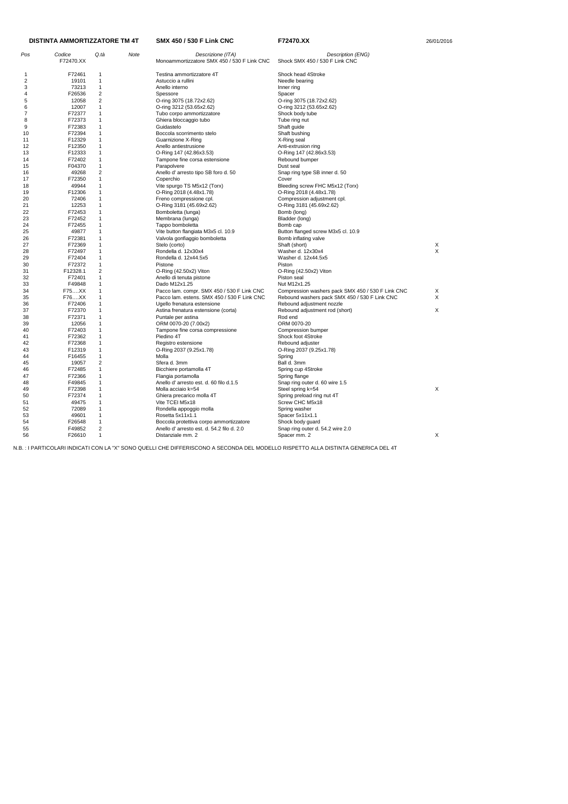|     | <b>DISTINTA AMMORTIZZATORE TM 4T</b> |                |      | <b>SMX 450 / 530 F Link CNC</b>             | F72470.XX                                         | 26/01/2016 |  |
|-----|--------------------------------------|----------------|------|---------------------------------------------|---------------------------------------------------|------------|--|
| Pos | Codice                               | Q.tà           | Note | Descrizione (ITA)                           | Description (ENG)                                 |            |  |
|     | F72470.XX                            |                |      | Monoammortizzatore SMX 450 / 530 F Link CNC | Shock SMX 450 / 530 F Link CNC                    |            |  |
| -1  | F72461                               | 1              |      | Testina ammortizzatore 4T                   | Shock head 4Stroke                                |            |  |
| 2   | 19101                                | 1              |      | Astuccio a rullini                          | Needle bearing                                    |            |  |
| 3   | 73213                                | 1              |      | Anello interno                              | Inner ring                                        |            |  |
| 4   | F26536                               | $\overline{c}$ |      | Spessore                                    | Spacer                                            |            |  |
| 5   | 12058                                | 2              |      | O-ring 3075 (18.72x2.62)                    | O-ring 3075 (18.72x2.62)                          |            |  |
| 6   | 12007                                | 1              |      | O-ring 3212 (53.65x2.62)                    | O-ring 3212 (53.65x2.62)                          |            |  |
| 7   | F72377                               | 1              |      | Tubo corpo ammortizzatore                   | Shock body tube                                   |            |  |
| 8   | F72373                               | 1              |      | Ghiera bloccaggio tubo                      | Tube ring nut                                     |            |  |
| 9   | F72383                               | 1              |      | Guidastelo                                  | Shaft guide                                       |            |  |
|     |                                      |                |      |                                             |                                                   |            |  |
| 10  | F72394                               | 1              |      | Boccola scorrimento stelo                   | Shaft bushing                                     |            |  |
| 11  | F12329                               | 1              |      | Guarnizione X-Ring                          | X-Ring seal                                       |            |  |
| 12  | F12350                               | 1              |      | Anello antiestrusione                       | Anti-extrusion ring                               |            |  |
| 13  | F12333                               | 1              |      | O-Ring 147 (42.86x3.53)                     | O-Ring 147 (42.86x3.53)                           |            |  |
| 14  | F72402                               | 1              |      | Tampone fine corsa estensione               | Rebound bumper                                    |            |  |
| 15  | F04370                               | 1              |      | Parapolvere                                 | Dust seal                                         |            |  |
| 16  | 49268                                | 2              |      | Anello d' arresto tipo SB foro d. 50        | Snap ring type SB inner d. 50                     |            |  |
| 17  | F72350                               | 1              |      | Coperchio                                   | Cover                                             |            |  |
| 18  | 49944                                | 1              |      | Vite spurgo TS M5x12 (Torx)                 | Bleeding screw FHC M5x12 (Torx)                   |            |  |
| 19  | F12306                               | 1              |      | O-Ring 2018 (4.48x1.78)                     | O-Ring 2018 (4.48x1.78)                           |            |  |
| 20  | 72406                                | 1              |      | Freno compressione cpl.                     | Compression adjustment cpl.                       |            |  |
| 21  | 12253                                | 1              |      | O-Ring 3181 (45.69x2.62)                    | O-Ring 3181 (45.69x2.62)                          |            |  |
| 22  | F72453                               | 1              |      | Bomboletta (lunga)                          | Bomb (long)                                       |            |  |
| 23  | F72452                               | 1              |      | Membrana (lunga)                            | Bladder (long)                                    |            |  |
| 24  | F72455                               | 1              |      |                                             |                                                   |            |  |
|     |                                      |                |      | Tappo bomboletta                            | Bomb cap                                          |            |  |
| 25  | 49877                                | 1              |      | Vite button flangiata M3x5 cl. 10.9         | Button flanged screw M3x5 cl. 10.9                |            |  |
| 26  | F72381                               | 1              |      | Valvola gonfiaggio bomboletta               | Bomb inflating valve                              |            |  |
| 27  | F72369                               | 1              |      | Stelo (corto)                               | Shaft (short)                                     | Х          |  |
| 28  | F72497                               | 1              |      | Rondella d. 12x30x4                         | Washer d. 12x30x4                                 | X          |  |
| 29  | F72404                               | 1              |      | Rondella d. 12x44.5x5                       | Washer d. 12x44.5x5                               |            |  |
| 30  | F72372                               | 1              |      | Pistone                                     | Piston                                            |            |  |
| 31  | F12328.1                             | 2              |      | O-Ring (42.50x2) Viton                      | O-Ring (42.50x2) Viton                            |            |  |
| 32  | F72401                               | 1              |      | Anello di tenuta pistone                    | Piston seal                                       |            |  |
| 33  | F49848                               | 1              |      | Dado M12x1.25                               | Nut M12x1.25                                      |            |  |
| 34  | F75XX                                | 1              |      | Pacco lam. compr. SMX 450 / 530 F Link CNC  | Compression washers pack SMX 450 / 530 F Link CNC | X          |  |
| 35  | F76XX                                | 1              |      | Pacco lam. estens. SMX 450 / 530 F Link CNC | Rebound washers pack SMX 450 / 530 F Link CNC     | X          |  |
| 36  | F72406                               | 1              |      | Ugello frenatura estensione                 | Rebound adjustment nozzle                         |            |  |
| 37  | F72370                               | 1              |      | Astina frenatura estensione (corta)         | Rebound adjustment rod (short)                    | X          |  |
| 38  | F72371                               | 1              |      | Puntale per astina                          | Rod end                                           |            |  |
| 39  | 12056                                | 1              |      | ORM 0070-20 (7.00x2)                        | ORM 0070-20                                       |            |  |
| 40  | F72403                               | 1              |      | Tampone fine corsa compressione             | Compression bumper                                |            |  |
| 41  | F72362                               | 1              |      | Piedino 4T                                  | Shock foot 4Stroke                                |            |  |
| 42  | F72368                               | 1              |      | Registro estensione                         | Rebound adjuster                                  |            |  |
| 43  | F12319                               | 1              |      | O-Ring 2037 (9.25x1.78)                     | O-Ring 2037 (9.25x1.78)                           |            |  |
|     |                                      |                |      | Molla                                       |                                                   |            |  |
| 44  | F16455                               | 1              |      |                                             | Spring                                            |            |  |
| 45  | 19057                                | 2              |      | Sfera d. 3mm                                | Ball d. 3mm                                       |            |  |
| 46  | F72485                               | 1              |      | Bicchiere portamolla 4T                     | Spring cup 4Stroke                                |            |  |
| 47  | F72366                               |                |      | Flangia portamolla                          | Spring flange                                     |            |  |
| 48  | F49845                               |                |      | Anello d'arresto est. d. 60 filo d.1.5      | Snap ring outer d. 60 wire 1.5                    |            |  |
| 49  | F72398                               |                |      | Molla acciaio k=54                          | Steel spring k=54                                 | X          |  |
| 50  | F72374                               |                |      | Ghiera precarico molla 4T                   | Spring preload ring nut 4T                        |            |  |
| 51  | 49475                                | 1              |      | Vite TCEI M5x18                             | Screw CHC M5x18                                   |            |  |
| 52  | 72089                                | 1              |      | Rondella appoggio molla                     | Spring washer                                     |            |  |
| 53  | 49601                                | 1              |      | Rosetta 5x11x1.1                            | Spacer 5x11x1.1                                   |            |  |
| 54  | F26548                               | 1              |      | Boccola protettiva corpo ammortizzatore     | Shock body guard                                  |            |  |
| 55  | F49852                               | $\overline{c}$ |      | Anello d'arresto est. d. 54.2 filo d. 2.0   | Snap ring outer d. 54.2 wire 2.0                  |            |  |
| 56  | F26610                               | $\mathbf 1$    |      | Distanziale mm. 2                           | Spacer mm. 2                                      | X          |  |
|     |                                      |                |      |                                             |                                                   |            |  |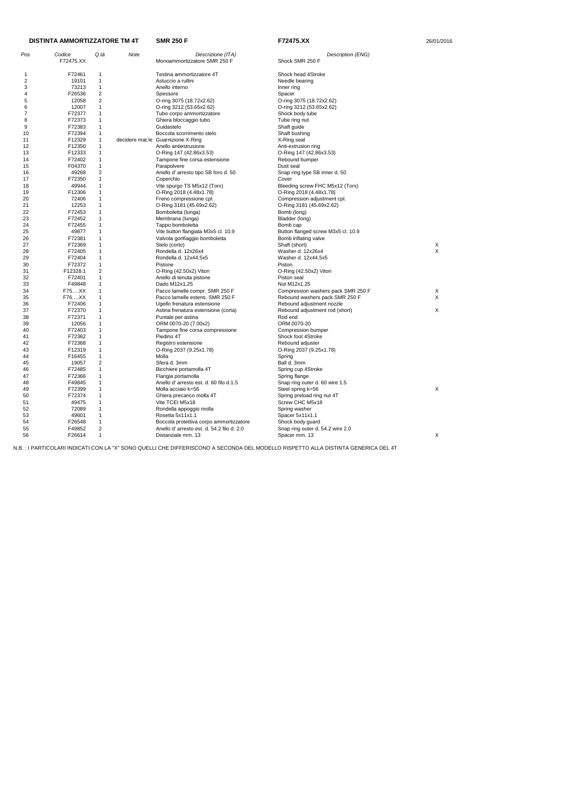|     | <b>DISTINTA AMMORTIZZATORE TM 4T</b> |                |      | <b>SMR 250 F</b>                          | F72475.XX                          | 26/01/2016 |
|-----|--------------------------------------|----------------|------|-------------------------------------------|------------------------------------|------------|
| Pos | Codice                               | Q.tà           | Note | Descrizione (ITA)                         | Description (ENG)                  |            |
|     | F72475.XX                            |                |      | Monoammortizzatore SMR 250 F              | Shock SMR 250 F                    |            |
| -1  | F72461                               | 1              |      | Testina ammortizzatore 4T                 | Shock head 4Stroke                 |            |
| 2   | 19101                                | 1              |      | Astuccio a rullini                        | Needle bearing                     |            |
| 3   | 73213                                | $\mathbf{1}$   |      | Anello interno                            | Inner ring                         |            |
| 4   | F26536                               | $\overline{2}$ |      | Spessore                                  | Spacer                             |            |
| 5   | 12058                                | $\overline{c}$ |      | O-ring 3075 (18.72x2.62)                  | O-ring 3075 (18.72x2.62)           |            |
| 6   | 12007                                | 1              |      | O-ring 3212 (53.65x2.62)                  | O-ring 3212 (53.65x2.62)           |            |
| 7   | F72377                               | 1              |      | Tubo corpo ammortizzatore                 | Shock body tube                    |            |
| 8   | F72373                               | -1             |      | Ghiera bloccaggio tubo                    | Tube ring nut                      |            |
| 9   | F72383                               | 1              |      | Guidastelo                                | Shaft guide                        |            |
| 10  | F72394                               | 1              |      | Boccola scorrimento stelo                 | Shaft bushing                      |            |
| 11  | F12329                               | $\mathbf{1}$   |      | decidere mat.le Guarnizione X-Ring        | X-Ring seal                        |            |
| 12  | F12350                               | 1              |      | Anello antiestrusione                     | Anti-extrusion ring                |            |
| 13  | F12333                               | 1              |      | O-Ring 147 (42.86x3.53)                   | O-Ring 147 (42.86x3.53)            |            |
| 14  | F72402                               | 1              |      | Tampone fine corsa estensione             | Rebound bumper                     |            |
| 15  | F04370                               | 1              |      | Parapolvere                               | Dust seal                          |            |
| 16  | 49268                                | $\overline{2}$ |      | Anello d' arresto tipo SB foro d. 50      | Snap ring type SB inner d. 50      |            |
| 17  | F72350                               | $\mathbf{1}$   |      | Coperchio                                 | Cover                              |            |
| 18  | 49944                                | 1              |      | Vite spurgo TS M5x12 (Torx)               | Bleeding screw FHC M5x12 (Torx)    |            |
| 19  | F12306                               | $\mathbf{1}$   |      | O-Ring 2018 (4.48x1.78)                   | O-Ring 2018 (4.48x1.78)            |            |
| 20  | 72406                                | 1              |      | Freno compressione cpl.                   | Compression adjustment cpl.        |            |
| 21  | 12253                                | $\mathbf 1$    |      | O-Ring 3181 (45.69x2.62)                  | O-Ring 3181 (45.69x2.62)           |            |
| 22  | F72453                               | $\mathbf{1}$   |      | Bomboletta (lunga)                        | Bomb (long)                        |            |
| 23  | F72452                               | 1              |      | Membrana (lunga)                          | Bladder (long)                     |            |
| 24  | F72455                               | $\mathbf 1$    |      | Tappo bomboletta                          | Bomb cap                           |            |
| 25  | 49877                                | 1              |      | Vite button flangiata M3x5 cl. 10.9       | Button flanged screw M3x5 cl. 10.9 |            |
| 26  | F72381                               | 1              |      | Valvola gonfiaggio bomboletta             | Bomb inflating valve               |            |
| 27  | F72369                               | $\mathbf{1}$   |      | Stelo (corto)                             | Shaft (short)                      | X          |
| 28  | F72405                               | 1              |      | Rondella d. 12x26x4                       | Washer d. 12x26x4                  | X          |
| 29  | F72404                               | 1              |      | Rondella d. 12x44.5x5                     | Washer d. 12x44.5x5                |            |
| 30  | F72372                               | 1              |      | Pistone                                   | Piston                             |            |
| 31  | F12328.1                             | 2              |      | O-Ring (42.50x2) Viton                    | O-Ring (42.50x2) Viton             |            |
| 32  | F72401                               | $\mathbf{1}$   |      | Anello di tenuta pistone                  | Piston seal                        |            |
| 33  | F49848                               | $\mathbf{1}$   |      | Dado M12x1.25                             | Nut M12x1.25                       |            |
| 34  | F75XX                                | 1              |      | Pacco lamelle compr. SMR 250 F            | Compression washers pack SMR 250 F | X          |
| 35  | F76XX                                | $\mathbf{1}$   |      | Pacco lamelle estens. SMR 250 F           | Rebound washers pack SMR 250 F     | X          |
| 36  | F72406                               | 1              |      | Ugello frenatura estensione               | Rebound adjustment nozzle          |            |
| 37  | F72370                               | $\mathbf 1$    |      | Astina frenatura estensione (corta)       | Rebound adjustment rod (short)     | X          |
| 38  | F72371                               | 1              |      | Puntale per astina                        | Rod end                            |            |
| 39  | 12056                                | 1              |      | ORM 0070-20 (7.00x2)                      | ORM 0070-20                        |            |
| 40  | F72403                               |                |      | Tampone fine corsa compressione           | Compression bumper                 |            |
| 41  | F72362                               | $\mathbf 1$    |      | Piedino 4T                                | Shock foot 4Stroke                 |            |
| 42  | F72368                               | 1              |      | Registro estensione                       | Rebound adjuster                   |            |
| 43  | F12319                               | $\mathbf{1}$   |      | O-Ring 2037 (9.25x1.78)                   | O-Ring 2037 (9.25x1.78)            |            |
| 44  | F16455                               | $\mathbf{1}$   |      | Molla                                     | Spring                             |            |
| 45  | 19057                                | $\overline{2}$ |      | Sfera d. 3mm                              | Ball d. 3mm                        |            |
| 46  | F72485                               | $\mathbf{1}$   |      | Bicchiere portamolla 4T                   | Spring cup 4Stroke                 |            |
| 47  | F72366                               | 1              |      | Flangia portamolla                        | Spring flange                      |            |
| 48  | F49845                               | $\mathbf{1}$   |      | Anello d'arresto est. d. 60 filo d.1.5    | Snap ring outer d. 60 wire 1.5     |            |
| 49  | F72399                               | 1              |      | Molla acciaio k=56                        | Steel spring k=56                  | X          |
| 50  | F72374                               | 1              |      | Ghiera precarico molla 4T                 | Spring preload ring nut 4T         |            |
| 51  | 49475                                | $\mathbf{1}$   |      | Vite TCEI M5x18                           | Screw CHC M5x18                    |            |
| 52  | 72089                                | 1              |      | Rondella appoggio molla                   | Spring washer                      |            |
| 53  | 49601                                | $\mathbf{1}$   |      | Rosetta 5x11x1.1                          | Spacer 5x11x1.1                    |            |
| 54  | F26548                               | $\mathbf{1}$   |      | Boccola protettiva corpo ammortizzatore   | Shock body guard                   |            |
| 55  | F49852                               | $\overline{2}$ |      | Anello d'arresto est. d. 54.2 filo d. 2.0 | Snap ring outer d. 54.2 wire 2.0   |            |
| 56  | F26614                               | $\mathbf{1}$   |      | Distanziale mm. 13                        | Spacer mm. 13                      | X          |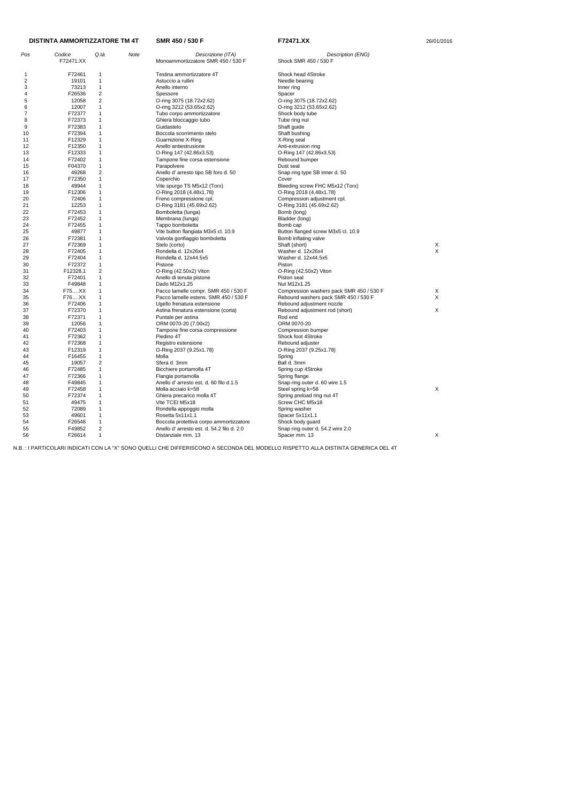| Pos            | Codice          | Q.tà           | <b>Note</b> | Descrizione (ITA)                         | Description (ENG)                        |             |
|----------------|-----------------|----------------|-------------|-------------------------------------------|------------------------------------------|-------------|
|                | F72471.XX       |                |             | Monoammortizzatore SMR 450 / 530 F        | Shock SMR 450 / 530 F                    |             |
|                |                 |                |             |                                           |                                          |             |
| 1              | F72461          | 1              |             | Testina ammortizzatore 4T                 | Shock head 4Stroke                       |             |
| 2              | 19101           | $\mathbf{1}$   |             | Astuccio a rullini                        | Needle bearing                           |             |
| 3              | 73213           | $\mathbf{1}$   |             | Anello interno                            | Inner ring                               |             |
| 4              | F26536          | 2              |             | Spessore                                  | Spacer                                   |             |
| 5              | 12058           | 2              |             | O-ring 3075 (18.72x2.62)                  | O-ring 3075 (18.72x2.62)                 |             |
| 6              | 12007           | $\mathbf{1}$   |             | O-ring 3212 (53.65x2.62)                  | O-ring 3212 (53.65x2.62)                 |             |
| $\overline{7}$ | F72377          | 1              |             | Tubo corpo ammortizzatore                 | Shock body tube                          |             |
| 8              | F72373          | 1              |             | Ghiera bloccaggio tubo                    | Tube ring nut                            |             |
| 9              | F72383          | 1              |             | Guidastelo                                | Shaft guide                              |             |
| 10             | F72394          | $\mathbf{1}$   |             | Boccola scorrimento stelo                 | Shaft bushing                            |             |
| 11             | F12329          | $\mathbf{1}$   |             | Guarnizione X-Ring                        | X-Ring seal                              |             |
| 12             | F12350          | 1              |             | Anello antiestrusione                     | Anti-extrusion ring                      |             |
| 13             | F12333          | $\mathbf{1}$   |             | O-Ring 147 (42.86x3.53)                   | O-Ring 147 (42.86x3.53)                  |             |
| 14             | F72402          | $\mathbf{1}$   |             | Tampone fine corsa estensione             | Rebound bumper                           |             |
| 15             | F04370          | $\mathbf{1}$   |             | Parapolvere                               | Dust seal                                |             |
| 16             | 49268           | 2              |             | Anello d' arresto tipo SB foro d. 50      | Snap ring type SB inner d. 50            |             |
| 17             | F72350          | 1              |             | Coperchio                                 | Cover                                    |             |
| 18             | 49944           | 1              |             | Vite spurgo TS M5x12 (Torx)               | Bleeding screw FHC M5x12 (Torx)          |             |
| 19             | F12306          | 1              |             | O-Ring 2018 (4.48x1.78)                   | O-Ring 2018 (4.48x1.78)                  |             |
| 20             | 72406           | $\mathbf{1}$   |             | Freno compressione cpl.                   | Compression adjustment cpl.              |             |
| 21             | 12253           | $\mathbf{1}$   |             | O-Ring 3181 (45.69x2.62)                  | O-Ring 3181 (45.69x2.62)                 |             |
| 22             | F72453          | 1              |             | Bomboletta (lunga)                        | Bomb (long)                              |             |
| 23             | F72452          | $\mathbf{1}$   |             | Membrana (lunga)                          | Bladder (long)                           |             |
| 24             | F72455          | 1              |             | Tappo bomboletta                          | Bomb cap                                 |             |
| 25             | 49877           | $\mathbf{1}$   |             | Vite button flangiata M3x5 cl. 10.9       | Button flanged screw M3x5 cl. 10.9       |             |
| 26             | F72381          | 1              |             | Valvola gonfiaggio bomboletta             | Bomb inflating valve                     |             |
| 27             | F72369          | 1              |             | Stelo (corto)                             | Shaft (short)                            | X           |
| 28             | F72405          | $\mathbf{1}$   |             | Rondella d. 12x26x4                       | Washer d. 12x26x4                        | $\mathsf X$ |
| 29             | F72404          | $\mathbf{1}$   |             | Rondella d. 12x44.5x5                     | Washer d. 12x44.5x5                      |             |
| 30             | F72372          | $\mathbf{1}$   |             | Pistone                                   | Piston                                   |             |
| 31             | F12328.1        | $\overline{c}$ |             | $O-Ring (42.50x2)$ Viton                  | O-Ring (42.50x2) Viton                   |             |
| 32             | F72401          | 1              |             | Anello di tenuta pistone                  | Piston seal                              |             |
| 33             | F49848          | 1              |             | Dado M12x1.25                             | Nut M12x1.25                             |             |
| 34             | F75XX           | 1              |             | Pacco lamelle compr. SMR 450 / 530 F      | Compression washers pack SMR 450 / 530 F | X           |
| 35             | F76XX           | 1              |             | Pacco lamelle estens. SMR 450 / 530 F     | Rebound washers pack SMR 450 / 530 F     | X           |
| 36             | F72406          | 1              |             | Ugello frenatura estensione               | Rebound adjustment nozzle                |             |
| 37             | F72370          | 1              |             | Astina frenatura estensione (corta)       | Rebound adjustment rod (short)           | X           |
| 38             | F72371          | 1              |             | Puntale per astina                        | Rod end                                  |             |
| 39             | 12056           | $\mathbf{1}$   |             | ORM 0070-20 (7.00x2)                      | ORM 0070-20                              |             |
| 40             | F72403          | 1              |             | Tampone fine corsa compressione           | Compression bumper                       |             |
| 41             | F72362          | 1              |             | Piedino 4T                                | Shock foot 4Stroke                       |             |
| 42             | F72368          | 1              |             | Registro estensione                       | Rebound adjuster                         |             |
| 43             | F12319          | 1              |             | O-Ring 2037 (9.25x1.78)                   | O-Ring 2037 (9.25x1.78)                  |             |
| 44             |                 | 1              |             | Molla                                     |                                          |             |
| 45             | F16455<br>19057 | 2              |             | Sfera d. 3mm                              | Spring<br>Ball d. 3mm                    |             |
|                | F72485          | $\mathbf{1}$   |             | Bicchiere portamolla 4T                   | Spring cup 4Stroke                       |             |
| 46<br>47       | F72366          | $\mathbf{1}$   |             | Flangia portamolla                        |                                          |             |
|                |                 |                |             |                                           | Spring flange                            |             |
| 48             | F49845          | 1              |             | Anello d'arresto est. d. 60 filo d.1.5    | Snap ring outer d. 60 wire 1.5           |             |
| 49             | F72458          | 1              |             | Molla acciaio k=58                        | Steel spring k=58                        | X           |
| 50             | F72374          | 1              |             | Ghiera precarico molla 4T                 | Spring preload ring nut 4T               |             |
| 51             | 49475           | 1              |             | Vite TCEI M5x18                           | Screw CHC M5x18                          |             |
| 52             | 72089           | $\mathbf{1}$   |             | Rondella appoggio molla                   | Spring washer                            |             |
| 53             | 49601           | 1              |             | Rosetta 5x11x1.1                          | Spacer 5x11x1.1                          |             |
| 54             | F26548          | $\mathbf{1}$   |             | Boccola protettiva corpo ammortizzatore   | Shock body guard                         |             |
| 55             | F49852          | 2              |             | Anello d'arresto est. d. 54.2 filo d. 2.0 | Snap ring outer d. 54.2 wire 2.0         |             |
| 56             | F26614          | $\mathbf{1}$   |             | Distanziale mm. 13                        | Spacer mm. 13                            | X           |

### **DISTINTA AMMORTIZZATORE TM 4T**

**SMR 450 / 530 F 672471.XX F72471.XX** 26/01/2016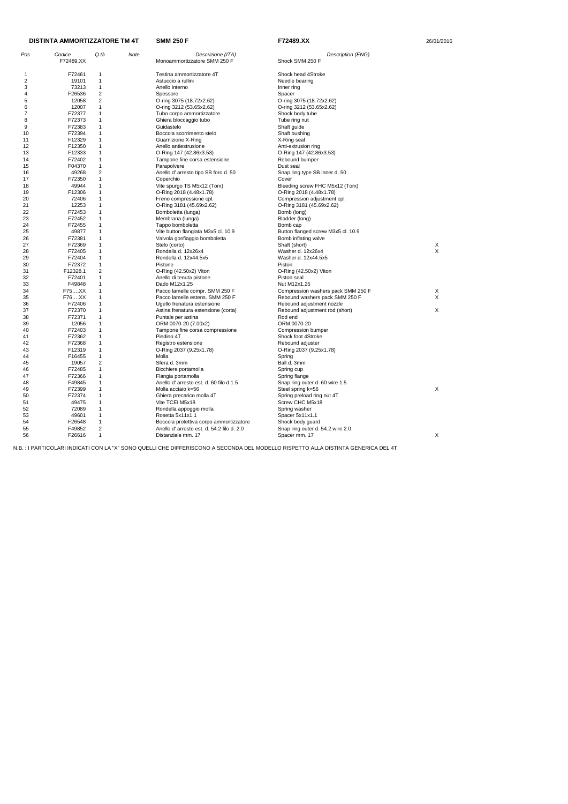|          | <b>DISTINTA AMMORTIZZATORE TM 4T</b> |                              |      | <b>SMM 250 F</b>                                             | F72489.XX                                       | 26/01/2016 |  |
|----------|--------------------------------------|------------------------------|------|--------------------------------------------------------------|-------------------------------------------------|------------|--|
| Pos      | Codice                               | Q.tà                         | Note | Descrizione (ITA)                                            | Description (ENG)                               |            |  |
|          | F72489.XX                            |                              |      | Monoammortizzatore SMM 250 F                                 | Shock SMM 250 F                                 |            |  |
| 1        | F72461                               | 1                            |      | Testina ammortizzatore 4T                                    | Shock head 4Stroke                              |            |  |
| 2        | 19101                                | $\mathbf{1}$                 |      | Astuccio a rullini                                           | Needle bearing                                  |            |  |
| 3        | 73213                                | $\mathbf{1}$                 |      | Anello interno                                               | Inner ring                                      |            |  |
| 4        | F26536                               | 2                            |      | Spessore                                                     | Spacer                                          |            |  |
| 5        | 12058                                | 2                            |      | O-ring 3075 (18.72x2.62)                                     | O-ring 3075 (18.72x2.62)                        |            |  |
| 6        | 12007                                | $\mathbf{1}$                 |      | O-ring 3212 (53.65x2.62)                                     | O-ring 3212 (53.65x2.62)                        |            |  |
| 7        | F72377                               | $\mathbf{1}$                 |      | Tubo corpo ammortizzatore                                    | Shock body tube                                 |            |  |
| 8        | F72373                               | 1                            |      | Ghiera bloccaggio tubo                                       | Tube ring nut                                   |            |  |
| 9        | F72383                               | $\mathbf{1}$                 |      | Guidastelo                                                   | Shaft guide                                     |            |  |
| 10       | F72394                               | $\mathbf{1}$                 |      | Boccola scorrimento stelo                                    | Shaft bushing                                   |            |  |
| 11       | F12329                               | 1                            |      | Guarnizione X-Ring                                           | X-Ring seal                                     |            |  |
| 12       | F12350                               | $\mathbf{1}$                 |      | Anello antiestrusione                                        | Anti-extrusion ring                             |            |  |
| 13       | F12333                               | 1                            |      | O-Ring 147 (42.86x3.53)                                      | O-Ring 147 (42.86x3.53)                         |            |  |
| 14       | F72402                               | $\mathbf{1}$                 |      | Tampone fine corsa estensione                                | Rebound bumper                                  |            |  |
| 15       | F04370                               | $\mathbf{1}$                 |      | Parapolvere                                                  | Dust seal                                       |            |  |
| 16       | 49268                                | $\overline{c}$               |      | Anello d' arresto tipo SB foro d. 50                         | Snap ring type SB inner d. 50                   |            |  |
| 17       | F72350                               | $\mathbf{1}$                 |      | Coperchio                                                    | Cover                                           |            |  |
| 18       | 49944                                | $\mathbf{1}$                 |      | Vite spurgo TS M5x12 (Torx)                                  | Bleeding screw FHC M5x12 (Torx)                 |            |  |
| 19       | F12306                               | 1                            |      | O-Ring 2018 (4.48x1.78)                                      | O-Ring 2018 (4.48x1.78)                         |            |  |
| 20       | 72406                                | 1                            |      | Freno compressione cpl.                                      | Compression adjustment cpl.                     |            |  |
| 21       | 12253                                | 1                            |      | O-Ring 3181 (45.69x2.62)                                     | O-Ring 3181 (45.69x2.62)                        |            |  |
| 22       | F72453                               | $\overline{1}$               |      | Bomboletta (lunga)                                           | Bomb (long)                                     |            |  |
| 23       | F72452                               | $\mathbf{1}$                 |      | Membrana (lunga)                                             | Bladder (long)                                  |            |  |
| 24       | F72455                               | 1                            |      | Tappo bomboletta                                             | Bomb cap                                        |            |  |
| 25       | 49877                                | $\mathbf 1$                  |      | Vite button flangiata M3x5 cl. 10.9                          | Button flanged screw M3x5 cl. 10.9              |            |  |
| 26       | F72381<br>F72369                     | 1<br>1                       |      | Valvola gonfiaggio bomboletta                                | Bomb inflating valve                            |            |  |
| 27<br>28 | F72405                               | $\mathbf{1}$                 |      | Stelo (corto)<br>Rondella d. 12x26x4                         | Shaft (short)<br>Washer d. 12x26x4              | Х<br>X     |  |
| 29       | F72404                               | 1                            |      | Rondella d. 12x44.5x5                                        | Washer d. 12x44.5x5                             |            |  |
| 30       | F72372                               | $\mathbf{1}$                 |      | Pistone                                                      | Piston                                          |            |  |
| 31       | F12328.1                             | $\overline{c}$               |      | O-Ring (42.50x2) Viton                                       | O-Ring (42.50x2) Viton                          |            |  |
| 32       | F72401                               | 1                            |      | Anello di tenuta pistone                                     | Piston seal                                     |            |  |
| 33       | F49848                               | $\mathbf{1}$                 |      | Dado M12x1.25                                                | Nut M12x1.25                                    |            |  |
| 34       | F75XX                                | 1                            |      | Pacco lamelle compr. SMM 250 F                               | Compression washers pack SMM 250 F              | Х          |  |
| 35       | F76XX                                | $\mathbf{1}$                 |      | Pacco lamelle estens. SMM 250 F                              | Rebound washers pack SMM 250 F                  | X          |  |
| 36       | F72406                               | 1                            |      | Ugello frenatura estensione                                  | Rebound adjustment nozzle                       |            |  |
| 37       | F72370                               | 1                            |      | Astina frenatura estensione (corta)                          | Rebound adjustment rod (short)                  | X          |  |
| 38       | F72371                               | $\mathbf{1}$                 |      | Puntale per astina                                           | Rod end                                         |            |  |
| 39       | 12056                                | 1                            |      | ORM 0070-20 (7.00x2)                                         | ORM 0070-20                                     |            |  |
| 40       | F72403                               | 1                            |      | Tampone fine corsa compressione                              | Compression bumper                              |            |  |
| 41       | F72362                               | 1                            |      | Piedino 4T                                                   | Shock foot 4Stroke                              |            |  |
| 42       | F72368                               | 1                            |      | Registro estensione                                          | Rebound adjuster                                |            |  |
| 43       | F12319                               | $\mathbf{1}$                 |      | O-Ring 2037 (9.25x1.78)                                      | O-Ring 2037 (9.25x1.78)                         |            |  |
| 44       | F16455                               | $\mathbf{1}$                 |      | Molla                                                        | Spring                                          |            |  |
| 45       | 19057                                | 2                            |      | Sfera d. 3mm                                                 | Ball d. 3mm                                     |            |  |
| 46       | F72485<br>F72366                     | $\mathbf{1}$<br>$\mathbf{1}$ |      | Bicchiere portamolla                                         | Spring cup                                      |            |  |
| 47<br>48 | F49845                               | 1                            |      | Flangia portamolla<br>Anello d'arresto est. d. 60 filo d.1.5 | Spring flange<br>Snap ring outer d. 60 wire 1.5 |            |  |
| 49       | F72399                               | $\mathbf{1}$                 |      | Molla acciaio k=56                                           | Steel spring k=56                               | X          |  |
| 50       | F72374                               | 1                            |      | Ghiera precarico molla 4T                                    | Spring preload ring nut 4T                      |            |  |
| 51       | 49475                                | $\mathbf{1}$                 |      | Vite TCEI M5x18                                              | Screw CHC M5x18                                 |            |  |
| 52       | 72089                                | $\mathbf{1}$                 |      | Rondella appoggio molla                                      | Spring washer                                   |            |  |
| 53       | 49601                                | 1                            |      | Rosetta 5x11x1.1                                             | Spacer 5x11x1.1                                 |            |  |
| 54       | F26548                               | $\mathbf{1}$                 |      | Boccola protettiva corpo ammortizzatore                      | Shock body guard                                |            |  |
| 55       | F49852                               | $\overline{c}$               |      | Anello d'arresto est. d. 54.2 filo d. 2.0                    | Snap ring outer d. 54.2 wire 2.0                |            |  |
| 56       | F26616                               | $\mathbf{1}$                 |      | Distanziale mm. 17                                           | Spacer mm. 17                                   | X          |  |
|          |                                      |                              |      |                                                              |                                                 |            |  |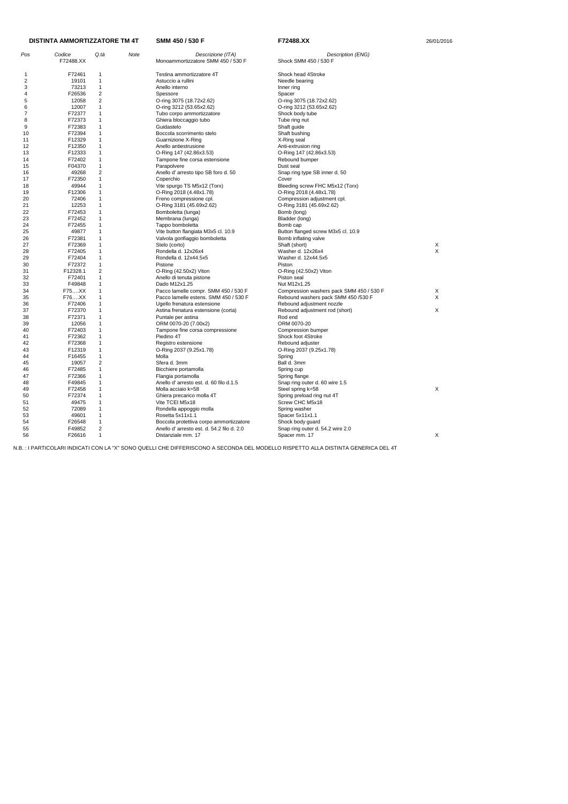| Pos      | Codice<br>F72488.XX | Q.tà           | Note | Descrizione (ITA)<br>Monoammortizzatore SMM 450 / 530 F | Description (ENG)<br>Shock SMM 450 / 530 F |        |
|----------|---------------------|----------------|------|---------------------------------------------------------|--------------------------------------------|--------|
| 1        | F72461              | -1             |      | Testina ammortizzatore 4T                               | Shock head 4Stroke                         |        |
| 2        | 19101               | $\mathbf{1}$   |      | Astuccio a rullini                                      | Needle bearing                             |        |
| 3        | 73213               | $\mathbf{1}$   |      | Anello interno                                          | Inner ring                                 |        |
| 4        | F26536              | $\overline{2}$ |      | Spessore                                                | Spacer                                     |        |
| 5        | 12058               | $\overline{2}$ |      | O-ring 3075 (18.72x2.62)                                | O-ring 3075 (18.72x2.62)                   |        |
| 6        | 12007               | $\mathbf{1}$   |      | O-ring 3212 (53.65x2.62)                                | O-ring 3212 (53.65x2.62)                   |        |
| 7        | F72377              | 1              |      | Tubo corpo ammortizzatore                               | Shock body tube                            |        |
| 8        | F72373              | 1              |      | Ghiera bloccaggio tubo                                  | Tube ring nut                              |        |
| 9        | F72383              | 1              |      | Guidastelo                                              | Shaft guide                                |        |
| 10       | F72394              | $\mathbf{1}$   |      | Boccola scorrimento stelo                               | Shaft bushing                              |        |
| 11       | F12329              | 1              |      | Guarnizione X-Ring                                      | X-Ring seal                                |        |
| 12       | F12350              | 1              |      | Anello antiestrusione                                   | Anti-extrusion ring                        |        |
| 13       | F12333              | 1              |      | O-Ring 147 (42.86x3.53)                                 | O-Ring 147 (42.86x3.53)                    |        |
| 14       | F72402              | $\mathbf{1}$   |      | Tampone fine corsa estensione                           | Rebound bumper                             |        |
| 15       | F04370              | $\mathbf{1}$   |      | Parapolvere                                             | Dust seal                                  |        |
| 16       | 49268               | $\overline{2}$ |      | Anello d' arresto tipo SB foro d. 50                    | Snap ring type SB inner d. 50              |        |
| 17       | F72350              | 1              |      | Coperchio                                               | Cover                                      |        |
| 18       | 49944               | $\mathbf{1}$   |      | Vite spurgo TS M5x12 (Torx)                             | Bleeding screw FHC M5x12 (Torx)            |        |
| 19       | F12306              | 1              |      | O-Ring 2018 (4.48x1.78)                                 | O-Ring 2018 (4.48x1.78)                    |        |
| 20       | 72406               | $\mathbf{1}$   |      | Freno compressione cpl.                                 | Compression adjustment cpl.                |        |
|          | 12253               | $\mathbf{1}$   |      |                                                         |                                            |        |
| 21<br>22 |                     | $\mathbf{1}$   |      | O-Ring 3181 (45.69x2.62)                                | O-Ring 3181 (45.69x2.62)                   |        |
|          | F72453              | $\mathbf{1}$   |      | Bomboletta (lunga)                                      | Bomb (long)                                |        |
| 23       | F72452              |                |      | Membrana (lunga)                                        | Bladder (long)                             |        |
| 24       | F72455              | 1              |      | Tappo bomboletta                                        | Bomb cap                                   |        |
| 25       | 49877               | 1              |      | Vite button flangiata M3x5 cl. 10.9                     | Button flanged screw M3x5 cl. 10.9         |        |
| 26       | F72381              | $\mathbf{1}$   |      | Valvola gonfiaggio bomboletta                           | Bomb inflating valve                       |        |
| 27       | F72369              | 1              |      | Stelo (corto)                                           | Shaft (short)                              | X<br>X |
| 28       | F72405              | $\mathbf{1}$   |      | Rondella d. 12x26x4                                     | Washer d. 12x26x4                          |        |
| 29       | F72404              | 1              |      | Rondella d. 12x44.5x5                                   | Washer d. 12x44.5x5                        |        |
| 30       | F72372              | $\mathbf{1}$   |      | Pistone                                                 | Piston                                     |        |
| 31       | F12328.1            | $\overline{2}$ |      | O-Ring (42.50x2) Viton                                  | O-Ring (42.50x2) Viton                     |        |
| 32       | F72401              | $\mathbf{1}$   |      | Anello di tenuta pistone                                | Piston seal                                |        |
| 33       | F49848              | 1              |      | Dado M12x1.25                                           | Nut M12x1.25                               |        |
| 34       | F75XX               | 1              |      | Pacco lamelle compr. SMM 450 / 530 F                    | Compression washers pack SMM 450 / 530 F   | X      |
| 35       | F76XX               | $\mathbf{1}$   |      | Pacco lamelle estens. SMM 450 / 530 F                   | Rebound washers pack SMM 450 /530 F        | X      |
| 36       | F72406              | 1              |      | Ugello frenatura estensione                             | Rebound adjustment nozzle                  |        |
| 37       | F72370              | 1              |      | Astina frenatura estensione (corta)                     | Rebound adjustment rod (short)             | X      |
| 38       | F72371              | 1              |      | Puntale per astina                                      | Rod end                                    |        |
| 39       | 12056               | $\mathbf{1}$   |      | ORM 0070-20 (7.00x2)                                    | ORM 0070-20                                |        |
| 40       | F72403              | 1              |      | Tampone fine corsa compressione                         | Compression bumper                         |        |
| 41       | F72362              | 1              |      | Piedino 4T                                              | Shock foot 4Stroke                         |        |
| 42       | F72368              | 1              |      | Registro estensione                                     | Rebound adjuster                           |        |
| 43       | F12319              | $\overline{1}$ |      | O-Ring 2037 (9.25x1.78)                                 | O-Ring 2037 (9.25x1.78)                    |        |
| 44       | F16455              | $\mathbf{1}$   |      | Molla                                                   | Spring                                     |        |
| 45       | 19057               | $\overline{2}$ |      | Sfera d. 3mm                                            | Ball d. 3mm                                |        |
| 46       | F72485              | $\mathbf{1}$   |      | Bicchiere portamolla                                    | Spring cup                                 |        |
| 47       | F72366              | $\mathbf{1}$   |      | Flangia portamolla                                      | Spring flange                              |        |
| 48       | F49845              | $\mathbf{1}$   |      | Anello d'arresto est. d. 60 filo d.1.5                  | Snap ring outer d. 60 wire 1.5             |        |
| 49       | F72458              | $\mathbf{1}$   |      | Molla acciaio k=58                                      | Steel spring k=58                          | X      |
| 50       | F72374              | $\mathbf{1}$   |      | Ghiera precarico molla 4T                               | Spring preload ring nut 4T                 |        |
| 51       | 49475               | $\mathbf{1}$   |      | Vite TCEI M5x18                                         | Screw CHC M5x18                            |        |
| 52       | 72089               | $\mathbf{1}$   |      | Rondella appoggio molla                                 | Spring washer                              |        |
| 53       | 49601               | $\mathbf{1}$   |      | Rosetta 5x11x1.1                                        | Spacer 5x11x1.1                            |        |
| 54       | F26548              | $\mathbf{1}$   |      | Boccola protettiva corpo ammortizzatore                 | Shock body guard                           |        |
| 55       | F49852              | $\overline{2}$ |      | Anello d'arresto est. d. 54.2 filo d. 2.0               | Snap ring outer d. 54.2 wire 2.0           |        |
| 56       | F26616              | $\mathbf{1}$   |      | Distanziale mm. 17                                      | Spacer mm. 17                              | X      |

# **DISTINTA AMMORTIZZATORE TM 4T**

**SMM 450 / 530 F 672488.XX F72488.XX** 26/01/2016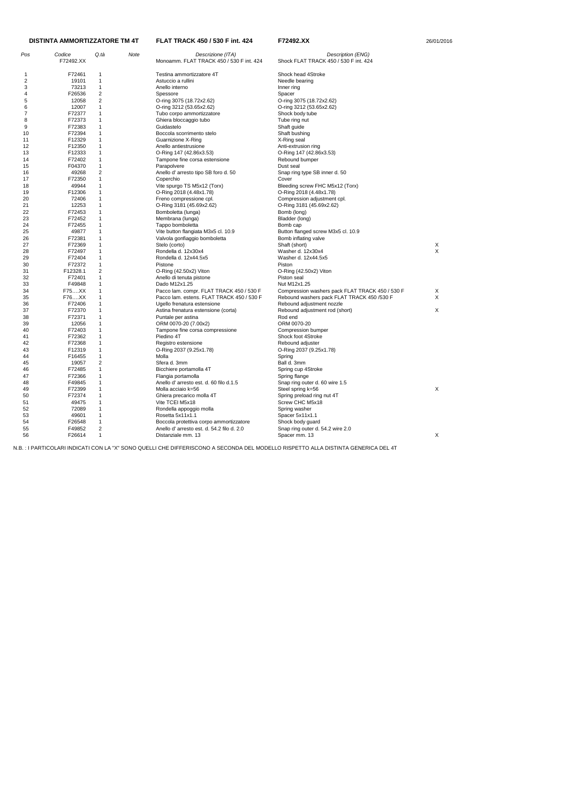| Pos | Codice<br>F72492.XX | Q.tà                    | Note | Descrizione (ITA)<br>Monoamm. FLAT TRACK 450 / 530 F int. 424 | Description (ENG)<br>Shock FLAT TRACK 450 / 530 F int. 424 |   |
|-----|---------------------|-------------------------|------|---------------------------------------------------------------|------------------------------------------------------------|---|
| -1  | F72461              | 1                       |      | Testina ammortizzatore 4T                                     | Shock head 4Stroke                                         |   |
| 2   | 19101               | 1                       |      | Astuccio a rullini                                            | Needle bearing                                             |   |
| 3   | 73213               | 1                       |      | Anello interno                                                | Inner ring                                                 |   |
| 4   | F26536              | $\overline{\mathbf{c}}$ |      | Spessore                                                      | Spacer                                                     |   |
| 5   | 12058               | $\overline{c}$          |      | O-ring 3075 (18.72x2.62)                                      | O-ring 3075 (18.72x2.62)                                   |   |
| 6   | 12007               | 1                       |      | O-ring 3212 (53.65x2.62)                                      | O-ring 3212 (53.65x2.62)                                   |   |
| 7   | F72377              | 1                       |      | Tubo corpo ammortizzatore                                     | Shock body tube                                            |   |
| 8   | F72373              | 1                       |      | Ghiera bloccaggio tubo                                        | Tube ring nut                                              |   |
| 9   | F72383              | 1                       |      | Guidastelo                                                    | Shaft guide                                                |   |
| 10  | F72394              | 1                       |      | Boccola scorrimento stelo                                     | Shaft bushing                                              |   |
| 11  | F12329              | 1                       |      | <b>Guarnizione X-Ring</b>                                     | X-Ring seal                                                |   |
| 12  | F12350              | 1                       |      | Anello antiestrusione                                         | Anti-extrusion ring                                        |   |
| 13  | F12333              | 1                       |      | O-Ring 147 (42.86x3.53)                                       | O-Ring 147 (42.86x3.53)                                    |   |
| 14  | F72402              | 1                       |      | Tampone fine corsa estensione                                 | Rebound bumper                                             |   |
| 15  | F04370              | 1                       |      | Parapolvere                                                   | Dust seal                                                  |   |
| 16  | 49268               | $\overline{c}$          |      | Anello d' arresto tipo SB foro d. 50                          | Snap ring type SB inner d. 50                              |   |
| 17  | F72350              | $\mathbf{1}$            |      | Coperchio                                                     | Cover                                                      |   |
| 18  | 49944               | 1                       |      | Vite spurgo TS M5x12 (Torx)                                   | Bleeding screw FHC M5x12 (Torx)                            |   |
| 19  | F12306              | 1                       |      | O-Ring 2018 (4.48x1.78)                                       | O-Ring 2018 (4.48x1.78)                                    |   |
| 20  | 72406               | 1                       |      | Freno compressione cpl.                                       | Compression adjustment cpl.                                |   |
| 21  | 12253               | 1                       |      | O-Ring 3181 (45.69x2.62)                                      | O-Ring 3181 (45.69x2.62)                                   |   |
| 22  | F72453              | 1                       |      | Bomboletta (lunga)                                            | Bomb (long)                                                |   |
| 23  | F72452              | 1                       |      | Membrana (lunga)                                              | Bladder (long)                                             |   |
| 24  | F72455              | 1                       |      | Tappo bomboletta                                              | Bomb cap                                                   |   |
| 25  | 49877               | 1                       |      | Vite button flangiata M3x5 cl. 10.9                           | Button flanged screw M3x5 cl. 10.9                         |   |
| 26  | F72381              | 1                       |      | Valvola gonfiaggio bomboletta                                 | Bomb inflating valve                                       |   |
| 27  | F72369              | 1                       |      | Stelo (corto)                                                 | Shaft (short)                                              | X |
| 28  | F72497              | 1                       |      | Rondella d. 12x30x4                                           | Washer d. 12x30x4                                          | X |
| 29  | F72404              | 1                       |      | Rondella d. 12x44.5x5                                         | Washer d. 12x44.5x5                                        |   |
| 30  | F72372              | 1                       |      | Pistone                                                       | Piston                                                     |   |
| 31  | F12328.1            | 2                       |      | O-Ring (42.50x2) Viton                                        | $O-Ring (42.50x2)$ Viton                                   |   |
| 32  | F72401              | 1                       |      | Anello di tenuta pistone                                      | Piston seal                                                |   |
| 33  | F49848              | 1                       |      | Dado M12x1.25                                                 | Nut M12x1.25                                               |   |
| 34  | F75XX               | 1                       |      | Pacco lam. compr. FLAT TRACK 450 / 530 F                      | Compression washers pack FLAT TRACK 450 / 530 F            | X |
| 35  | F76XX               | 1                       |      | Pacco lam. estens. FLAT TRACK 450 / 530 F                     | Rebound washers pack FLAT TRACK 450 /530 F                 | X |
| 36  | F72406              | 1                       |      | Ugello frenatura estensione                                   | Rebound adjustment nozzle                                  |   |
| 37  | F72370              | 1                       |      | Astina frenatura estensione (corta)                           | Rebound adjustment rod (short)                             | Χ |
| 38  | F72371              | 1                       |      | Puntale per astina                                            | Rod end                                                    |   |
| 39  | 12056               | 1                       |      | ORM 0070-20 (7.00x2)                                          | ORM 0070-20                                                |   |
| 40  | F72403              | 1                       |      | Tampone fine corsa compressione                               | Compression bumper                                         |   |
| 41  | F72362              | 1                       |      | Piedino 4T                                                    | Shock foot 4Stroke                                         |   |
| 42  | F72368              | 1                       |      | Registro estensione                                           | Rebound adjuster                                           |   |
| 43  | F12319              | $\mathbf{1}$            |      | O-Ring 2037 (9.25x1.78)                                       | O-Ring 2037 (9.25x1.78)                                    |   |
| 44  | F16455              | 1                       |      | Molla                                                         | Spring                                                     |   |
| 45  | 19057               | 2                       |      | Sfera d. 3mm                                                  | Ball d. 3mm                                                |   |
| 46  | F72485              | $\mathbf{1}$            |      | Bicchiere portamolla 4T                                       | Spring cup 4Stroke                                         |   |
| 47  | F72366              | 1                       |      | Flangia portamolla                                            | Spring flange                                              |   |
| 48  | F49845              | 1                       |      | Anello d'arresto est. d. 60 filo d.1.5                        | Snap ring outer d. 60 wire 1.5                             |   |
| 49  | F72399              | 1                       |      | Molla acciaio k=56                                            | Steel spring k=56                                          | X |
| 50  | F72374              | 1                       |      | Ghiera precarico molla 4T                                     | Spring preload ring nut 4T                                 |   |
| 51  | 49475               | 1                       |      | Vite TCEI M5x18                                               | Screw CHC M5x18                                            |   |
| 52  | 72089               | 1                       |      | Rondella appoggio molla                                       | Spring washer                                              |   |
| 53  | 49601               | 1                       |      | Rosetta 5x11x1.1                                              | Spacer 5x11x1.1                                            |   |
| 54  | F26548              | 1                       |      | Boccola protettiva corpo ammortizzatore                       | Shock body guard                                           |   |
| 55  | F49852              | 2                       |      | Anello d'arresto est. d. 54.2 filo d. 2.0                     | Snap ring outer d. 54.2 wire 2.0                           |   |
| 56  | F26614              | $\mathbf{1}$            |      | Distanziale mm. 13                                            | Spacer mm. 13                                              | X |
|     |                     |                         |      |                                                               |                                                            |   |

#### **FLAT TRACK 450 / 530 F int. 424 F72492.XX** 26/01/2016 **DISTINTA AMMORTIZZATORE TM 4T**